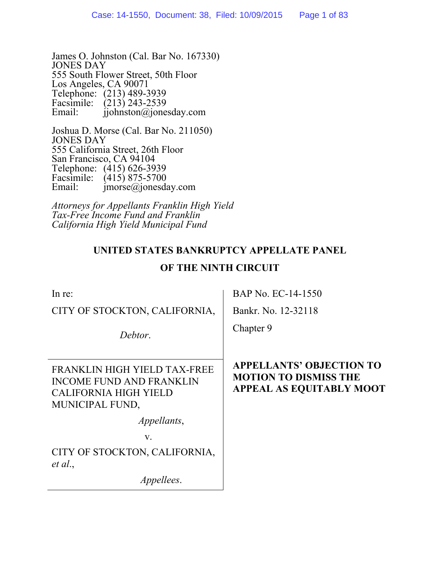James O. Johnston (Cal. Bar No. 167330) JONES DAY 555 South Flower Street, 50th Floor Los Angeles, CA 90071 Telephone: (213) 489-3939 Facsimile: (213) 243-2539 Email: ijohnston@jonesday.com

Joshua D. Morse (Cal. Bar No. 211050) JONES DAY 555 California Street, 26th Floor San Francisco, CA 94104 Telephone: (415) 626-3939 Facsimile:  $(415) 875-5700$ <br>Email: imorse@ionesda  $imorse@jonesday.com$ 

*Attorneys for Appellants Franklin High Yield Tax-Free Income Fund and Franklin California High Yield Municipal Fund* 

## **UNITED STATES BANKRUPTCY APPELLATE PANEL**

## **OF THE NINTH CIRCUIT**

| In re:                                                                                                             | BAP No. EC-14-1550                                                                                 |
|--------------------------------------------------------------------------------------------------------------------|----------------------------------------------------------------------------------------------------|
| CITY OF STOCKTON, CALIFORNIA,                                                                                      | Bankr. No. 12-32118                                                                                |
| Debtor.                                                                                                            | Chapter 9                                                                                          |
| FRANKLIN HIGH YIELD TAX-FREE<br><b>INCOME FUND AND FRANKLIN</b><br><b>CALIFORNIA HIGH YIELD</b><br>MUNICIPAL FUND, | <b>APPELLANTS' OBJECTION TO</b><br><b>MOTION TO DISMISS THE</b><br><b>APPEAL AS EQUITABLY MOOT</b> |
| <i>Appellants,</i>                                                                                                 |                                                                                                    |
| V.                                                                                                                 |                                                                                                    |
| CITY OF STOCKTON, CALIFORNIA,<br>et al.,                                                                           |                                                                                                    |
| <i>Appellees.</i>                                                                                                  |                                                                                                    |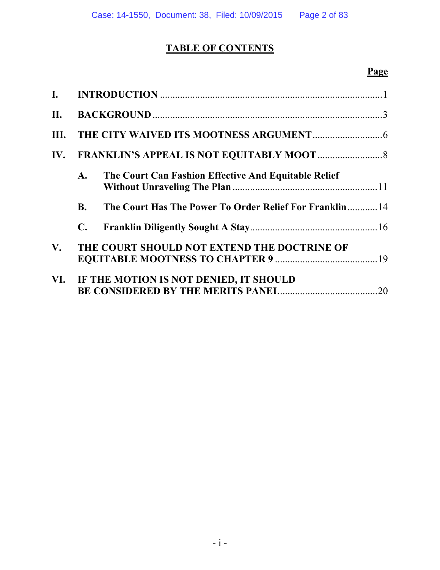# **TABLE OF CONTENTS**

| $\mathbf{I}$ . |                |                                                         |     |
|----------------|----------------|---------------------------------------------------------|-----|
|                |                |                                                         |     |
|                |                |                                                         |     |
|                |                |                                                         |     |
|                | $\mathbf{A}$ . | The Court Can Fashion Effective And Equitable Relief    |     |
|                | <b>B.</b>      | The Court Has The Power To Order Relief For Franklin 14 |     |
|                | C.             |                                                         |     |
| $V_{\cdot}$    |                | THE COURT SHOULD NOT EXTEND THE DOCTRINE OF             |     |
|                |                | VI. IF THE MOTION IS NOT DENIED, IT SHOULD              | .20 |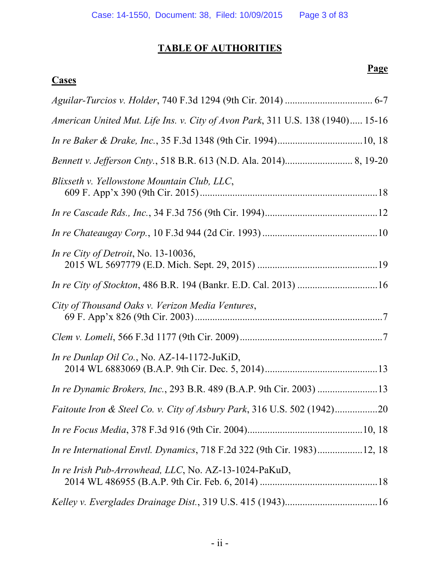# **TABLE OF AUTHORITIES**

## **Cases**

| American United Mut. Life Ins. v. City of Avon Park, 311 U.S. 138 (1940) 15-16 |
|--------------------------------------------------------------------------------|
|                                                                                |
|                                                                                |
| Blixseth v. Yellowstone Mountain Club, LLC,                                    |
|                                                                                |
|                                                                                |
| In re City of Detroit, No. 13-10036,                                           |
|                                                                                |
| City of Thousand Oaks v. Verizon Media Ventures,                               |
|                                                                                |
| In re Dunlap Oil Co., No. AZ-14-1172-JuKiD,                                    |
| In re Dynamic Brokers, Inc., 293 B.R. 489 (B.A.P. 9th Cir. 2003) 13            |
|                                                                                |
|                                                                                |
| <i>In re International Envtl. Dynamics, 718 F.2d 322 (9th Cir. 1983)12, 18</i> |
| <i>In re Irish Pub-Arrowhead, LLC, No. AZ-13-1024-PaKuD,</i>                   |
|                                                                                |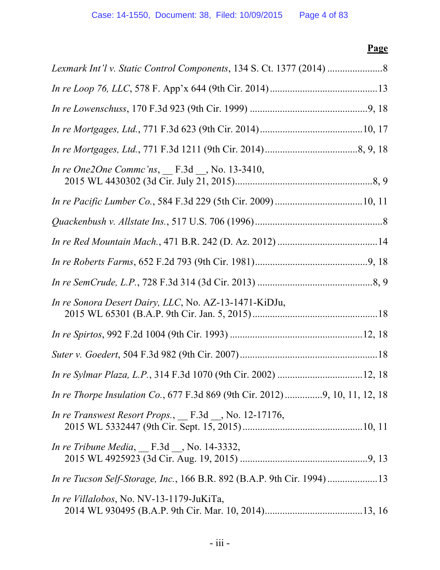| <i>In re One2One Commc'ns</i> , F.3d __, No. 13-3410,                              |  |
|------------------------------------------------------------------------------------|--|
|                                                                                    |  |
|                                                                                    |  |
|                                                                                    |  |
|                                                                                    |  |
|                                                                                    |  |
| In re Sonora Desert Dairy, LLC, No. AZ-13-1471-KiDJu,                              |  |
|                                                                                    |  |
|                                                                                    |  |
|                                                                                    |  |
| <i>In re Thorpe Insulation Co., 677 F.3d 869 (9th Cir. 2012) 9, 10, 11, 12, 18</i> |  |
| In re Transwest Resort Props., $_F$ F.3d $_N$ No. 12-17176,                        |  |
| In re Tribune Media, $F.3d$ , No. 14-3332,                                         |  |
| <i>In re Tucson Self-Storage, Inc., 166 B.R. 892 (B.A.P. 9th Cir. 1994)13</i>      |  |
| <i>In re Villalobos</i> , No. NV-13-1179-JuKiTa,                                   |  |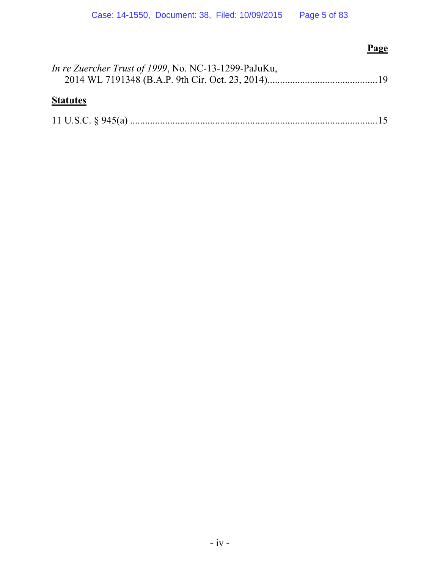| In re Zuercher Trust of 1999, No. NC-13-1299-PaJuKu, |  |
|------------------------------------------------------|--|
| <b>Statutes</b>                                      |  |

|--|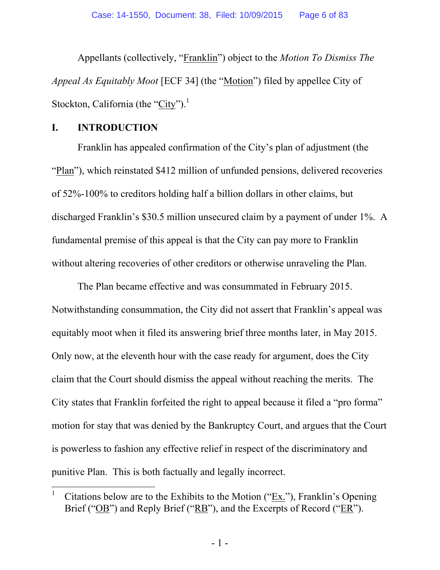Appellants (collectively, "Franklin") object to the *Motion To Dismiss The Appeal As Equitably Moot* [ECF 34] (the "Motion") filed by appellee City of Stockton, California (the "City").<sup>1</sup>

#### **I. INTRODUCTION**

 $\overline{a}$ 

Franklin has appealed confirmation of the City's plan of adjustment (the "Plan"), which reinstated \$412 million of unfunded pensions, delivered recoveries of 52%-100% to creditors holding half a billion dollars in other claims, but discharged Franklin's \$30.5 million unsecured claim by a payment of under 1%. A fundamental premise of this appeal is that the City can pay more to Franklin without altering recoveries of other creditors or otherwise unraveling the Plan.

The Plan became effective and was consummated in February 2015. Notwithstanding consummation, the City did not assert that Franklin's appeal was equitably moot when it filed its answering brief three months later, in May 2015. Only now, at the eleventh hour with the case ready for argument, does the City claim that the Court should dismiss the appeal without reaching the merits. The City states that Franklin forfeited the right to appeal because it filed a "pro forma" motion for stay that was denied by the Bankruptcy Court, and argues that the Court is powerless to fashion any effective relief in respect of the discriminatory and punitive Plan. This is both factually and legally incorrect.

<sup>1</sup> Citations below are to the Exhibits to the Motion ("Ex."), Franklin's Opening Brief ("OB") and Reply Brief ("RB"), and the Excerpts of Record ("ER").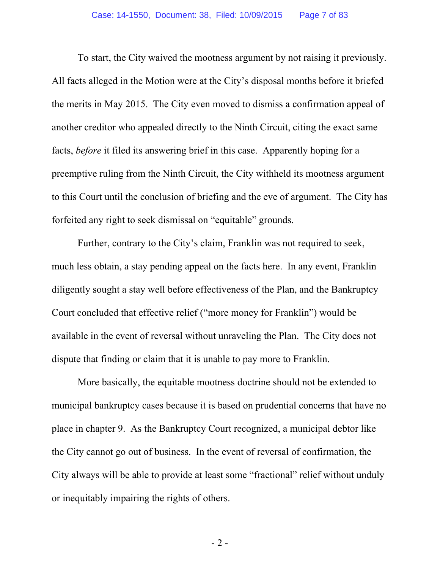To start, the City waived the mootness argument by not raising it previously. All facts alleged in the Motion were at the City's disposal months before it briefed the merits in May 2015. The City even moved to dismiss a confirmation appeal of another creditor who appealed directly to the Ninth Circuit, citing the exact same facts, *before* it filed its answering brief in this case. Apparently hoping for a preemptive ruling from the Ninth Circuit, the City withheld its mootness argument to this Court until the conclusion of briefing and the eve of argument. The City has forfeited any right to seek dismissal on "equitable" grounds.

Further, contrary to the City's claim, Franklin was not required to seek, much less obtain, a stay pending appeal on the facts here. In any event, Franklin diligently sought a stay well before effectiveness of the Plan, and the Bankruptcy Court concluded that effective relief ("more money for Franklin") would be available in the event of reversal without unraveling the Plan. The City does not dispute that finding or claim that it is unable to pay more to Franklin.

More basically, the equitable mootness doctrine should not be extended to municipal bankruptcy cases because it is based on prudential concerns that have no place in chapter 9. As the Bankruptcy Court recognized, a municipal debtor like the City cannot go out of business. In the event of reversal of confirmation, the City always will be able to provide at least some "fractional" relief without unduly or inequitably impairing the rights of others.

- 2 -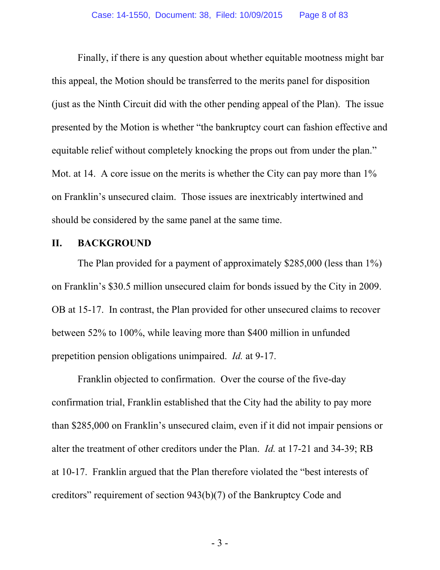Finally, if there is any question about whether equitable mootness might bar this appeal, the Motion should be transferred to the merits panel for disposition (just as the Ninth Circuit did with the other pending appeal of the Plan). The issue presented by the Motion is whether "the bankruptcy court can fashion effective and equitable relief without completely knocking the props out from under the plan." Mot. at 14. A core issue on the merits is whether the City can pay more than 1% on Franklin's unsecured claim. Those issues are inextricably intertwined and should be considered by the same panel at the same time.

#### **II. BACKGROUND**

The Plan provided for a payment of approximately \$285,000 (less than 1%) on Franklin's \$30.5 million unsecured claim for bonds issued by the City in 2009. OB at 15-17. In contrast, the Plan provided for other unsecured claims to recover between 52% to 100%, while leaving more than \$400 million in unfunded prepetition pension obligations unimpaired. *Id.* at 9-17.

Franklin objected to confirmation. Over the course of the five-day confirmation trial, Franklin established that the City had the ability to pay more than \$285,000 on Franklin's unsecured claim, even if it did not impair pensions or alter the treatment of other creditors under the Plan. *Id.* at 17-21 and 34-39; RB at 10-17. Franklin argued that the Plan therefore violated the "best interests of creditors" requirement of section 943(b)(7) of the Bankruptcy Code and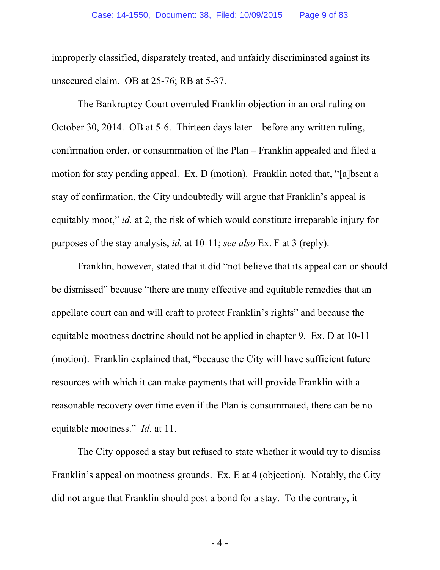improperly classified, disparately treated, and unfairly discriminated against its unsecured claim. OB at 25-76; RB at 5-37.

The Bankruptcy Court overruled Franklin objection in an oral ruling on October 30, 2014. OB at 5-6. Thirteen days later – before any written ruling, confirmation order, or consummation of the Plan – Franklin appealed and filed a motion for stay pending appeal. Ex. D (motion). Franklin noted that, "[a]bsent a stay of confirmation, the City undoubtedly will argue that Franklin's appeal is equitably moot," *id.* at 2, the risk of which would constitute irreparable injury for purposes of the stay analysis, *id.* at 10-11; *see also* Ex. F at 3 (reply).

Franklin, however, stated that it did "not believe that its appeal can or should be dismissed" because "there are many effective and equitable remedies that an appellate court can and will craft to protect Franklin's rights" and because the equitable mootness doctrine should not be applied in chapter 9. Ex. D at 10-11 (motion). Franklin explained that, "because the City will have sufficient future resources with which it can make payments that will provide Franklin with a reasonable recovery over time even if the Plan is consummated, there can be no equitable mootness." *Id*. at 11.

The City opposed a stay but refused to state whether it would try to dismiss Franklin's appeal on mootness grounds. Ex. E at 4 (objection). Notably, the City did not argue that Franklin should post a bond for a stay. To the contrary, it

- 4 -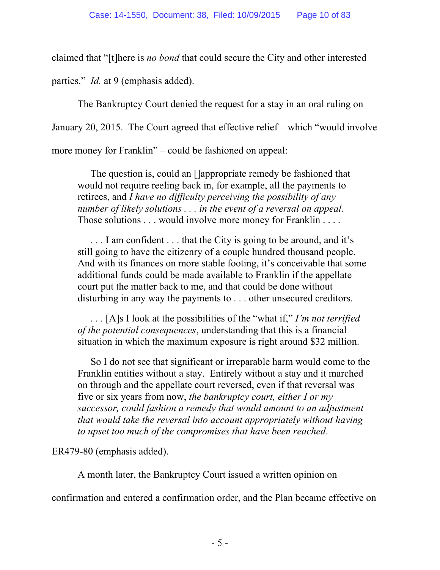claimed that "[t]here is *no bond* that could secure the City and other interested

parties." *Id.* at 9 (emphasis added).

The Bankruptcy Court denied the request for a stay in an oral ruling on

January 20, 2015. The Court agreed that effective relief – which "would involve

more money for Franklin" – could be fashioned on appeal:

The question is, could an []appropriate remedy be fashioned that would not require reeling back in, for example, all the payments to retirees, and *I have no difficulty perceiving the possibility of any number of likely solutions . . . in the event of a reversal on appeal*. Those solutions . . . would involve more money for Franklin . . . .

. . . I am confident . . . that the City is going to be around, and it's still going to have the citizenry of a couple hundred thousand people. And with its finances on more stable footing, it's conceivable that some additional funds could be made available to Franklin if the appellate court put the matter back to me, and that could be done without disturbing in any way the payments to . . . other unsecured creditors.

. . . [A]s I look at the possibilities of the "what if," *I'm not terrified of the potential consequences*, understanding that this is a financial situation in which the maximum exposure is right around \$32 million.

So I do not see that significant or irreparable harm would come to the Franklin entities without a stay. Entirely without a stay and it marched on through and the appellate court reversed, even if that reversal was five or six years from now, *the bankruptcy court, either I or my successor, could fashion a remedy that would amount to an adjustment that would take the reversal into account appropriately without having to upset too much of the compromises that have been reached*.

ER479-80 (emphasis added).

A month later, the Bankruptcy Court issued a written opinion on

confirmation and entered a confirmation order, and the Plan became effective on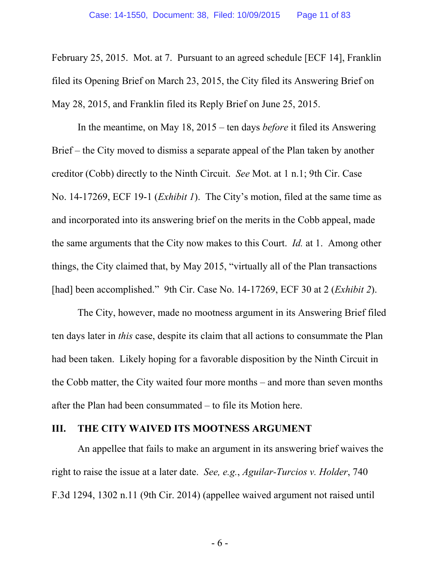February 25, 2015. Mot. at 7. Pursuant to an agreed schedule [ECF 14], Franklin filed its Opening Brief on March 23, 2015, the City filed its Answering Brief on May 28, 2015, and Franklin filed its Reply Brief on June 25, 2015.

In the meantime, on May 18, 2015 – ten days *before* it filed its Answering Brief – the City moved to dismiss a separate appeal of the Plan taken by another creditor (Cobb) directly to the Ninth Circuit. *See* Mot. at 1 n.1; 9th Cir. Case No. 14-17269, ECF 19-1 (*Exhibit 1*). The City's motion, filed at the same time as and incorporated into its answering brief on the merits in the Cobb appeal, made the same arguments that the City now makes to this Court. *Id.* at 1. Among other things, the City claimed that, by May 2015, "virtually all of the Plan transactions [had] been accomplished." 9th Cir. Case No. 14-17269, ECF 30 at 2 (*Exhibit 2*).

The City, however, made no mootness argument in its Answering Brief filed ten days later in *this* case, despite its claim that all actions to consummate the Plan had been taken. Likely hoping for a favorable disposition by the Ninth Circuit in the Cobb matter, the City waited four more months – and more than seven months after the Plan had been consummated – to file its Motion here.

#### **III. THE CITY WAIVED ITS MOOTNESS ARGUMENT**

An appellee that fails to make an argument in its answering brief waives the right to raise the issue at a later date. *See, e.g.*, *Aguilar-Turcios v. Holder*, 740 F.3d 1294, 1302 n.11 (9th Cir. 2014) (appellee waived argument not raised until

- 6 -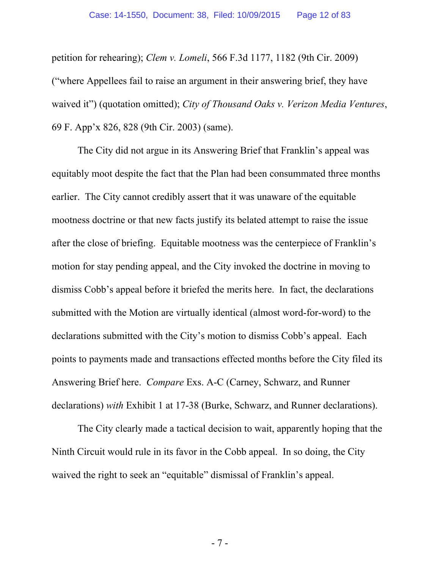petition for rehearing); *Clem v. Lomeli*, 566 F.3d 1177, 1182 (9th Cir. 2009) ("where Appellees fail to raise an argument in their answering brief, they have waived it") (quotation omitted); *City of Thousand Oaks v. Verizon Media Ventures*, 69 F. App'x 826, 828 (9th Cir. 2003) (same).

The City did not argue in its Answering Brief that Franklin's appeal was equitably moot despite the fact that the Plan had been consummated three months earlier. The City cannot credibly assert that it was unaware of the equitable mootness doctrine or that new facts justify its belated attempt to raise the issue after the close of briefing. Equitable mootness was the centerpiece of Franklin's motion for stay pending appeal, and the City invoked the doctrine in moving to dismiss Cobb's appeal before it briefed the merits here. In fact, the declarations submitted with the Motion are virtually identical (almost word-for-word) to the declarations submitted with the City's motion to dismiss Cobb's appeal. Each points to payments made and transactions effected months before the City filed its Answering Brief here. *Compare* Exs. A-C (Carney, Schwarz, and Runner declarations) *with* Exhibit 1 at 17-38 (Burke, Schwarz, and Runner declarations).

The City clearly made a tactical decision to wait, apparently hoping that the Ninth Circuit would rule in its favor in the Cobb appeal. In so doing, the City waived the right to seek an "equitable" dismissal of Franklin's appeal.

- 7 -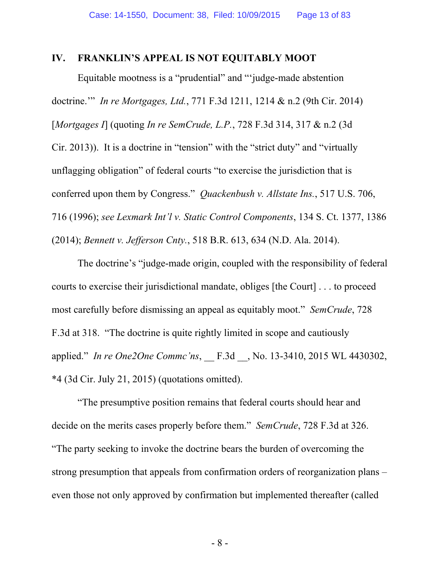#### **IV. FRANKLIN'S APPEAL IS NOT EQUITABLY MOOT**

Equitable mootness is a "prudential" and "'judge-made abstention doctrine.'" *In re Mortgages, Ltd.*, 771 F.3d 1211, 1214 & n.2 (9th Cir. 2014) [*Mortgages I*] (quoting *In re SemCrude, L.P.*, 728 F.3d 314, 317 & n.2 (3d Cir. 2013)). It is a doctrine in "tension" with the "strict duty" and "virtually unflagging obligation" of federal courts "to exercise the jurisdiction that is conferred upon them by Congress." *Quackenbush v. Allstate Ins.*, 517 U.S. 706, 716 (1996); *see Lexmark Int'l v. Static Control Components*, 134 S. Ct. 1377, 1386 (2014); *Bennett v. Jefferson Cnty.*, 518 B.R. 613, 634 (N.D. Ala. 2014).

The doctrine's "judge-made origin, coupled with the responsibility of federal courts to exercise their jurisdictional mandate, obliges [the Court] . . . to proceed most carefully before dismissing an appeal as equitably moot." *SemCrude*, 728 F.3d at 318. "The doctrine is quite rightly limited in scope and cautiously applied." *In re One2One Commc'ns*, \_\_ F.3d \_\_, No. 13-3410, 2015 WL 4430302, \*4 (3d Cir. July 21, 2015) (quotations omitted).

"The presumptive position remains that federal courts should hear and decide on the merits cases properly before them." *SemCrude*, 728 F.3d at 326. "The party seeking to invoke the doctrine bears the burden of overcoming the strong presumption that appeals from confirmation orders of reorganization plans – even those not only approved by confirmation but implemented thereafter (called

- 8 -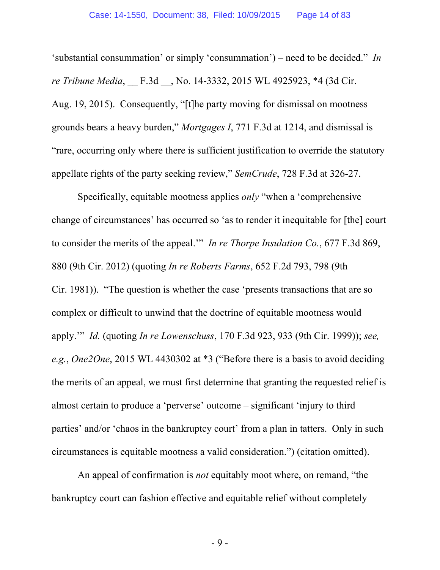'substantial consummation' or simply 'consummation') – need to be decided." *In re Tribune Media*, \_\_ F.3d \_\_, No. 14-3332, 2015 WL 4925923, \*4 (3d Cir. Aug. 19, 2015). Consequently, "[t]he party moving for dismissal on mootness grounds bears a heavy burden," *Mortgages I*, 771 F.3d at 1214, and dismissal is "rare, occurring only where there is sufficient justification to override the statutory appellate rights of the party seeking review," *SemCrude*, 728 F.3d at 326-27.

Specifically, equitable mootness applies *only* "when a 'comprehensive change of circumstances' has occurred so 'as to render it inequitable for [the] court to consider the merits of the appeal.'" *In re Thorpe Insulation Co.*, 677 F.3d 869, 880 (9th Cir. 2012) (quoting *In re Roberts Farms*, 652 F.2d 793, 798 (9th Cir. 1981)). "The question is whether the case 'presents transactions that are so complex or difficult to unwind that the doctrine of equitable mootness would apply.'" *Id.* (quoting *In re Lowenschuss*, 170 F.3d 923, 933 (9th Cir. 1999)); *see, e.g.*, *One2One*, 2015 WL 4430302 at \*3 ("Before there is a basis to avoid deciding the merits of an appeal, we must first determine that granting the requested relief is almost certain to produce a 'perverse' outcome – significant 'injury to third parties' and/or 'chaos in the bankruptcy court' from a plan in tatters. Only in such circumstances is equitable mootness a valid consideration.") (citation omitted).

An appeal of confirmation is *not* equitably moot where, on remand, "the bankruptcy court can fashion effective and equitable relief without completely

- 9 -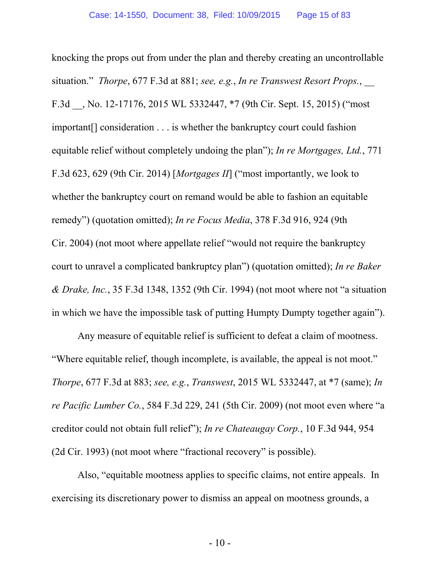knocking the props out from under the plan and thereby creating an uncontrollable situation." *Thorpe*, 677 F.3d at 881; *see, e.g.*, *In re Transwest Resort Props.*, \_\_ F.3d \_\_, No. 12-17176, 2015 WL 5332447, \*7 (9th Cir. Sept. 15, 2015) ("most important[] consideration . . . is whether the bankruptcy court could fashion equitable relief without completely undoing the plan"); *In re Mortgages, Ltd.*, 771 F.3d 623, 629 (9th Cir. 2014) [*Mortgages II*] ("most importantly, we look to whether the bankruptcy court on remand would be able to fashion an equitable remedy") (quotation omitted); *In re Focus Media*, 378 F.3d 916, 924 (9th Cir. 2004) (not moot where appellate relief "would not require the bankruptcy court to unravel a complicated bankruptcy plan") (quotation omitted); *In re Baker & Drake, Inc.*, 35 F.3d 1348, 1352 (9th Cir. 1994) (not moot where not "a situation in which we have the impossible task of putting Humpty Dumpty together again").

Any measure of equitable relief is sufficient to defeat a claim of mootness. "Where equitable relief, though incomplete, is available, the appeal is not moot." *Thorpe*, 677 F.3d at 883; *see, e.g.*, *Transwest*, 2015 WL 5332447, at \*7 (same); *In re Pacific Lumber Co.*, 584 F.3d 229, 241 (5th Cir. 2009) (not moot even where "a creditor could not obtain full relief"); *In re Chateaugay Corp.*, 10 F.3d 944, 954 (2d Cir. 1993) (not moot where "fractional recovery" is possible).

Also, "equitable mootness applies to specific claims, not entire appeals. In exercising its discretionary power to dismiss an appeal on mootness grounds, a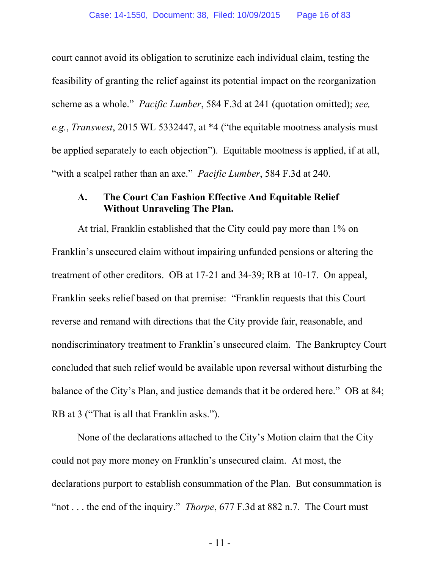court cannot avoid its obligation to scrutinize each individual claim, testing the feasibility of granting the relief against its potential impact on the reorganization scheme as a whole." *Pacific Lumber*, 584 F.3d at 241 (quotation omitted); *see, e.g.*, *Transwest*, 2015 WL 5332447, at \*4 ("the equitable mootness analysis must be applied separately to each objection"). Equitable mootness is applied, if at all, "with a scalpel rather than an axe." *Pacific Lumber*, 584 F.3d at 240.

#### **A. The Court Can Fashion Effective And Equitable Relief Without Unraveling The Plan.**

At trial, Franklin established that the City could pay more than 1% on Franklin's unsecured claim without impairing unfunded pensions or altering the treatment of other creditors. OB at 17-21 and 34-39; RB at 10-17. On appeal, Franklin seeks relief based on that premise: "Franklin requests that this Court reverse and remand with directions that the City provide fair, reasonable, and nondiscriminatory treatment to Franklin's unsecured claim. The Bankruptcy Court concluded that such relief would be available upon reversal without disturbing the balance of the City's Plan, and justice demands that it be ordered here." OB at 84; RB at 3 ("That is all that Franklin asks.").

None of the declarations attached to the City's Motion claim that the City could not pay more money on Franklin's unsecured claim. At most, the declarations purport to establish consummation of the Plan. But consummation is "not . . . the end of the inquiry." *Thorpe*, 677 F.3d at 882 n.7. The Court must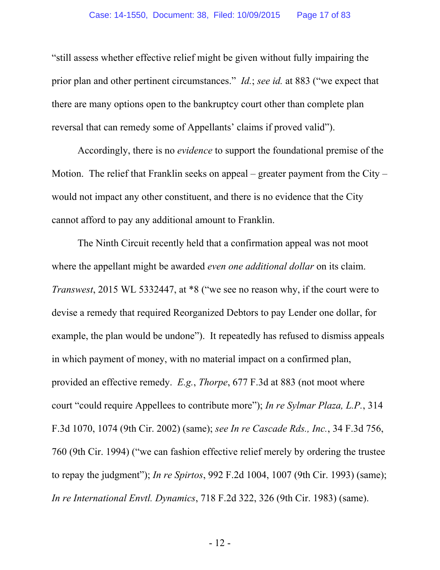"still assess whether effective relief might be given without fully impairing the prior plan and other pertinent circumstances." *Id.*; *see id.* at 883 ("we expect that there are many options open to the bankruptcy court other than complete plan reversal that can remedy some of Appellants' claims if proved valid").

Accordingly, there is no *evidence* to support the foundational premise of the Motion. The relief that Franklin seeks on appeal – greater payment from the City – would not impact any other constituent, and there is no evidence that the City cannot afford to pay any additional amount to Franklin.

The Ninth Circuit recently held that a confirmation appeal was not moot where the appellant might be awarded *even one additional dollar* on its claim. *Transwest*, 2015 WL 5332447, at \*8 ("we see no reason why, if the court were to devise a remedy that required Reorganized Debtors to pay Lender one dollar, for example, the plan would be undone"). It repeatedly has refused to dismiss appeals in which payment of money, with no material impact on a confirmed plan, provided an effective remedy. *E.g.*, *Thorpe*, 677 F.3d at 883 (not moot where court "could require Appellees to contribute more"); *In re Sylmar Plaza, L.P.*, 314 F.3d 1070, 1074 (9th Cir. 2002) (same); *see In re Cascade Rds., Inc.*, 34 F.3d 756, 760 (9th Cir. 1994) ("we can fashion effective relief merely by ordering the trustee to repay the judgment"); *In re Spirtos*, 992 F.2d 1004, 1007 (9th Cir. 1993) (same); *In re International Envtl. Dynamics*, 718 F.2d 322, 326 (9th Cir. 1983) (same).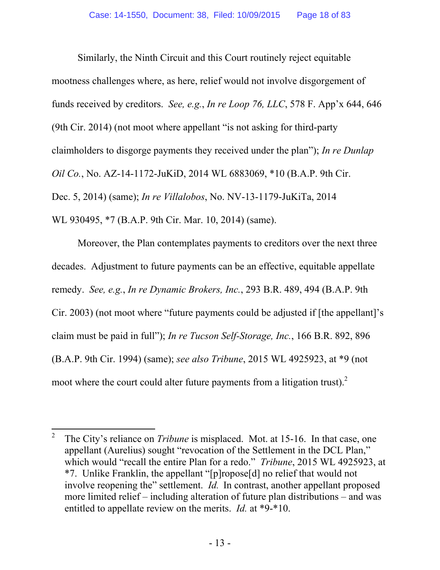Similarly, the Ninth Circuit and this Court routinely reject equitable mootness challenges where, as here, relief would not involve disgorgement of funds received by creditors. *See, e.g.*, *In re Loop 76, LLC*, 578 F. App'x 644, 646 (9th Cir. 2014) (not moot where appellant "is not asking for third-party claimholders to disgorge payments they received under the plan"); *In re Dunlap Oil Co.*, No. AZ-14-1172-JuKiD, 2014 WL 6883069, \*10 (B.A.P. 9th Cir. Dec. 5, 2014) (same); *In re Villalobos*, No. NV-13-1179-JuKiTa, 2014 WL 930495, \*7 (B.A.P. 9th Cir. Mar. 10, 2014) (same).

Moreover, the Plan contemplates payments to creditors over the next three decades. Adjustment to future payments can be an effective, equitable appellate remedy. *See, e.g.*, *In re Dynamic Brokers, Inc.*, 293 B.R. 489, 494 (B.A.P. 9th Cir. 2003) (not moot where "future payments could be adjusted if [the appellant]'s claim must be paid in full"); *In re Tucson Self-Storage, Inc.*, 166 B.R. 892, 896 (B.A.P. 9th Cir. 1994) (same); *see also Tribune*, 2015 WL 4925923, at \*9 (not moot where the court could alter future payments from a litigation trust). $2$ 

 $\overline{a}$ 

<sup>2</sup> The City's reliance on *Tribune* is misplaced. Mot. at 15-16. In that case, one appellant (Aurelius) sought "revocation of the Settlement in the DCL Plan," which would "recall the entire Plan for a redo." *Tribune*, 2015 WL 4925923, at \*7. Unlike Franklin, the appellant "[p]ropose[d] no relief that would not involve reopening the" settlement. *Id.* In contrast, another appellant proposed more limited relief – including alteration of future plan distributions – and was entitled to appellate review on the merits. *Id.* at \*9-\*10.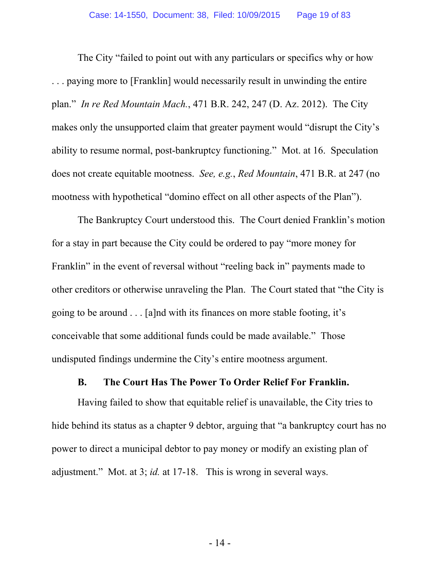The City "failed to point out with any particulars or specifics why or how . . . paying more to [Franklin] would necessarily result in unwinding the entire plan." *In re Red Mountain Mach.*, 471 B.R. 242, 247 (D. Az. 2012). The City makes only the unsupported claim that greater payment would "disrupt the City's ability to resume normal, post-bankruptcy functioning." Mot. at 16. Speculation does not create equitable mootness. *See, e.g.*, *Red Mountain*, 471 B.R. at 247 (no mootness with hypothetical "domino effect on all other aspects of the Plan").

The Bankruptcy Court understood this. The Court denied Franklin's motion for a stay in part because the City could be ordered to pay "more money for Franklin" in the event of reversal without "reeling back in" payments made to other creditors or otherwise unraveling the Plan. The Court stated that "the City is going to be around . . . [a]nd with its finances on more stable footing, it's conceivable that some additional funds could be made available." Those undisputed findings undermine the City's entire mootness argument.

#### **B. The Court Has The Power To Order Relief For Franklin.**

Having failed to show that equitable relief is unavailable, the City tries to hide behind its status as a chapter 9 debtor, arguing that "a bankruptcy court has no power to direct a municipal debtor to pay money or modify an existing plan of adjustment." Mot. at 3; *id.* at 17-18. This is wrong in several ways.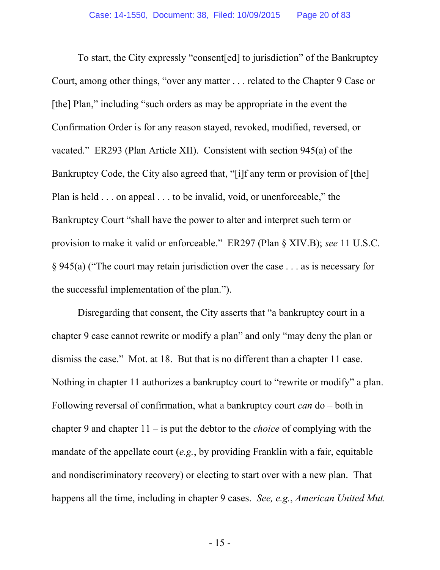To start, the City expressly "consent[ed] to jurisdiction" of the Bankruptcy Court, among other things, "over any matter . . . related to the Chapter 9 Case or [the] Plan," including "such orders as may be appropriate in the event the Confirmation Order is for any reason stayed, revoked, modified, reversed, or vacated." ER293 (Plan Article XII). Consistent with section 945(a) of the Bankruptcy Code, the City also agreed that, "[i]f any term or provision of [the] Plan is held . . . on appeal . . . to be invalid, void, or unenforceable," the Bankruptcy Court "shall have the power to alter and interpret such term or provision to make it valid or enforceable." ER297 (Plan § XIV.B); *see* 11 U.S.C. § 945(a) ("The court may retain jurisdiction over the case . . . as is necessary for the successful implementation of the plan.").

Disregarding that consent, the City asserts that "a bankruptcy court in a chapter 9 case cannot rewrite or modify a plan" and only "may deny the plan or dismiss the case." Mot. at 18. But that is no different than a chapter 11 case. Nothing in chapter 11 authorizes a bankruptcy court to "rewrite or modify" a plan. Following reversal of confirmation, what a bankruptcy court *can* do – both in chapter 9 and chapter 11 – is put the debtor to the *choice* of complying with the mandate of the appellate court (*e.g.*, by providing Franklin with a fair, equitable and nondiscriminatory recovery) or electing to start over with a new plan. That happens all the time, including in chapter 9 cases. *See, e.g.*, *American United Mut.*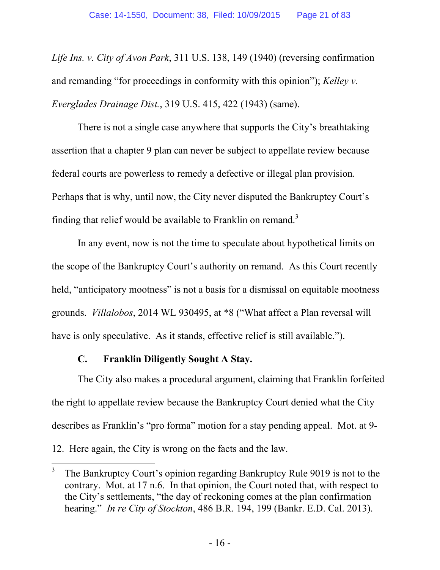*Life Ins. v. City of Avon Park*, 311 U.S. 138, 149 (1940) (reversing confirmation and remanding "for proceedings in conformity with this opinion"); *Kelley v. Everglades Drainage Dist.*, 319 U.S. 415, 422 (1943) (same).

There is not a single case anywhere that supports the City's breathtaking assertion that a chapter 9 plan can never be subject to appellate review because federal courts are powerless to remedy a defective or illegal plan provision. Perhaps that is why, until now, the City never disputed the Bankruptcy Court's finding that relief would be available to Franklin on remand.<sup>3</sup>

In any event, now is not the time to speculate about hypothetical limits on the scope of the Bankruptcy Court's authority on remand. As this Court recently held, "anticipatory mootness" is not a basis for a dismissal on equitable mootness grounds. *Villalobos*, 2014 WL 930495, at \*8 ("What affect a Plan reversal will have is only speculative. As it stands, effective relief is still available.").

## **C. Franklin Diligently Sought A Stay.**

The City also makes a procedural argument, claiming that Franklin forfeited the right to appellate review because the Bankruptcy Court denied what the City describes as Franklin's "pro forma" motion for a stay pending appeal. Mot. at 9-

<sup>12.</sup> Here again, the City is wrong on the facts and the law.

 $\overline{a}$ 3 The Bankruptcy Court's opinion regarding Bankruptcy Rule 9019 is not to the contrary. Mot. at 17 n.6. In that opinion, the Court noted that, with respect to the City's settlements, "the day of reckoning comes at the plan confirmation hearing." *In re City of Stockton*, 486 B.R. 194, 199 (Bankr. E.D. Cal. 2013).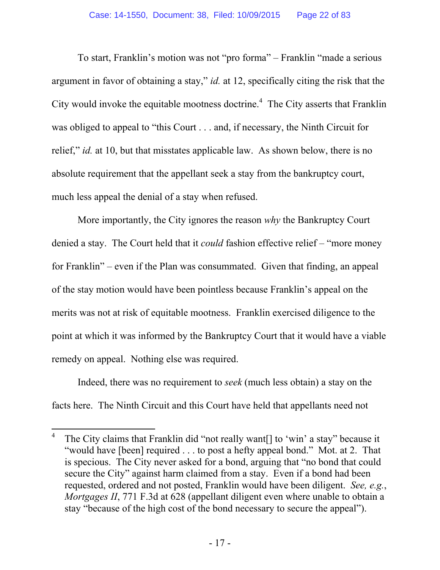To start, Franklin's motion was not "pro forma" – Franklin "made a serious argument in favor of obtaining a stay," *id.* at 12, specifically citing the risk that the City would invoke the equitable mootness doctrine.<sup>4</sup> The City asserts that Franklin was obliged to appeal to "this Court . . . and, if necessary, the Ninth Circuit for relief," *id.* at 10, but that misstates applicable law. As shown below, there is no absolute requirement that the appellant seek a stay from the bankruptcy court, much less appeal the denial of a stay when refused.

More importantly, the City ignores the reason *why* the Bankruptcy Court denied a stay. The Court held that it *could* fashion effective relief – "more money for Franklin" – even if the Plan was consummated. Given that finding, an appeal of the stay motion would have been pointless because Franklin's appeal on the merits was not at risk of equitable mootness. Franklin exercised diligence to the point at which it was informed by the Bankruptcy Court that it would have a viable remedy on appeal. Nothing else was required.

Indeed, there was no requirement to *seek* (much less obtain) a stay on the facts here. The Ninth Circuit and this Court have held that appellants need not

 $\overline{a}$ 

<sup>4</sup> The City claims that Franklin did "not really want[] to 'win' a stay" because it "would have [been] required . . . to post a hefty appeal bond." Mot. at 2. That is specious. The City never asked for a bond, arguing that "no bond that could secure the City" against harm claimed from a stay. Even if a bond had been requested, ordered and not posted, Franklin would have been diligent. *See, e.g.*, *Mortgages II*, 771 F.3d at 628 (appellant diligent even where unable to obtain a stay "because of the high cost of the bond necessary to secure the appeal").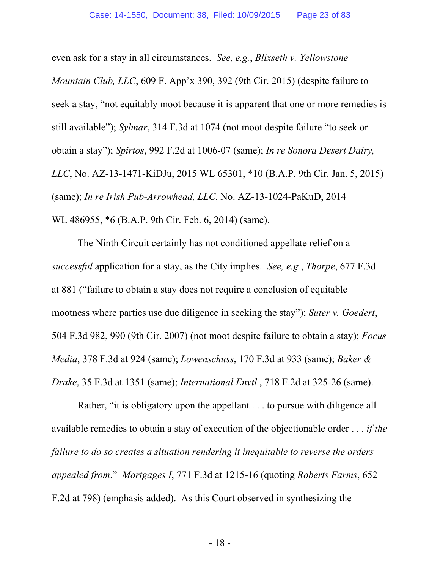even ask for a stay in all circumstances. *See, e.g.*, *Blixseth v. Yellowstone Mountain Club, LLC*, 609 F. App'x 390, 392 (9th Cir. 2015) (despite failure to seek a stay, "not equitably moot because it is apparent that one or more remedies is still available"); *Sylmar*, 314 F.3d at 1074 (not moot despite failure "to seek or obtain a stay"); *Spirtos*, 992 F.2d at 1006-07 (same); *In re Sonora Desert Dairy, LLC*, No. AZ-13-1471-KiDJu, 2015 WL 65301, \*10 (B.A.P. 9th Cir. Jan. 5, 2015) (same); *In re Irish Pub-Arrowhead, LLC*, No. AZ-13-1024-PaKuD, 2014 WL 486955, \*6 (B.A.P. 9th Cir. Feb. 6, 2014) (same).

The Ninth Circuit certainly has not conditioned appellate relief on a *successful* application for a stay, as the City implies. *See, e.g.*, *Thorpe*, 677 F.3d at 881 ("failure to obtain a stay does not require a conclusion of equitable mootness where parties use due diligence in seeking the stay"); *Suter v. Goedert*, 504 F.3d 982, 990 (9th Cir. 2007) (not moot despite failure to obtain a stay); *Focus Media*, 378 F.3d at 924 (same); *Lowenschuss*, 170 F.3d at 933 (same); *Baker & Drake*, 35 F.3d at 1351 (same); *International Envtl.*, 718 F.2d at 325-26 (same).

Rather, "it is obligatory upon the appellant . . . to pursue with diligence all available remedies to obtain a stay of execution of the objectionable order . . . *if the failure to do so creates a situation rendering it inequitable to reverse the orders appealed from*." *Mortgages I*, 771 F.3d at 1215-16 (quoting *Roberts Farms*, 652 F.2d at 798) (emphasis added). As this Court observed in synthesizing the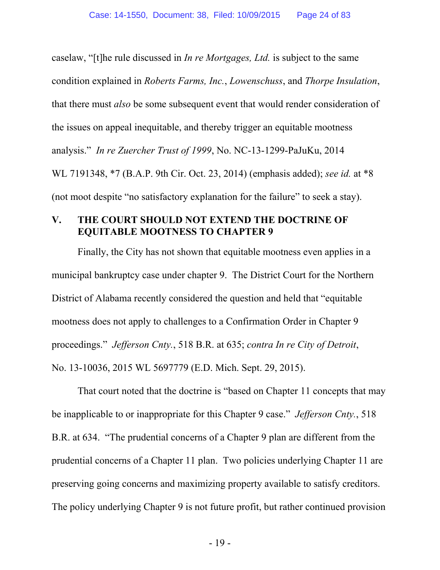caselaw, "[t]he rule discussed in *In re Mortgages, Ltd.* is subject to the same condition explained in *Roberts Farms, Inc.*, *Lowenschuss*, and *Thorpe Insulation*, that there must *also* be some subsequent event that would render consideration of the issues on appeal inequitable, and thereby trigger an equitable mootness analysis." *In re Zuercher Trust of 1999*, No. NC-13-1299-PaJuKu, 2014 WL 7191348, \*7 (B.A.P. 9th Cir. Oct. 23, 2014) (emphasis added); *see id.* at \*8 (not moot despite "no satisfactory explanation for the failure" to seek a stay).

#### **V. THE COURT SHOULD NOT EXTEND THE DOCTRINE OF EQUITABLE MOOTNESS TO CHAPTER 9**

Finally, the City has not shown that equitable mootness even applies in a municipal bankruptcy case under chapter 9. The District Court for the Northern District of Alabama recently considered the question and held that "equitable mootness does not apply to challenges to a Confirmation Order in Chapter 9 proceedings." *Jefferson Cnty.*, 518 B.R. at 635; *contra In re City of Detroit*, No. 13-10036, 2015 WL 5697779 (E.D. Mich. Sept. 29, 2015).

That court noted that the doctrine is "based on Chapter 11 concepts that may be inapplicable to or inappropriate for this Chapter 9 case." *Jefferson Cnty.*, 518 B.R. at 634. "The prudential concerns of a Chapter 9 plan are different from the prudential concerns of a Chapter 11 plan. Two policies underlying Chapter 11 are preserving going concerns and maximizing property available to satisfy creditors. The policy underlying Chapter 9 is not future profit, but rather continued provision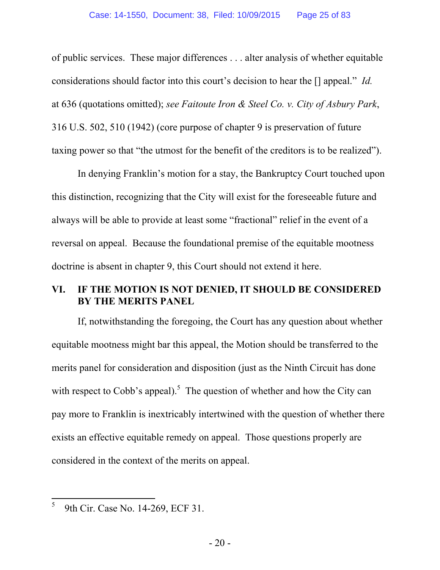of public services. These major differences . . . alter analysis of whether equitable considerations should factor into this court's decision to hear the [] appeal." *Id.* at 636 (quotations omitted); *see Faitoute Iron & Steel Co. v. City of Asbury Park*, 316 U.S. 502, 510 (1942) (core purpose of chapter 9 is preservation of future taxing power so that "the utmost for the benefit of the creditors is to be realized").

In denying Franklin's motion for a stay, the Bankruptcy Court touched upon this distinction, recognizing that the City will exist for the foreseeable future and always will be able to provide at least some "fractional" relief in the event of a reversal on appeal. Because the foundational premise of the equitable mootness doctrine is absent in chapter 9, this Court should not extend it here.

#### **VI. IF THE MOTION IS NOT DENIED, IT SHOULD BE CONSIDERED BY THE MERITS PANEL**

If, notwithstanding the foregoing, the Court has any question about whether equitable mootness might bar this appeal, the Motion should be transferred to the merits panel for consideration and disposition (just as the Ninth Circuit has done with respect to Cobb's appeal).<sup>5</sup> The question of whether and how the City can pay more to Franklin is inextricably intertwined with the question of whether there exists an effective equitable remedy on appeal. Those questions properly are considered in the context of the merits on appeal.

 $\overline{a}$ 5 9th Cir. Case No. 14-269, ECF 31.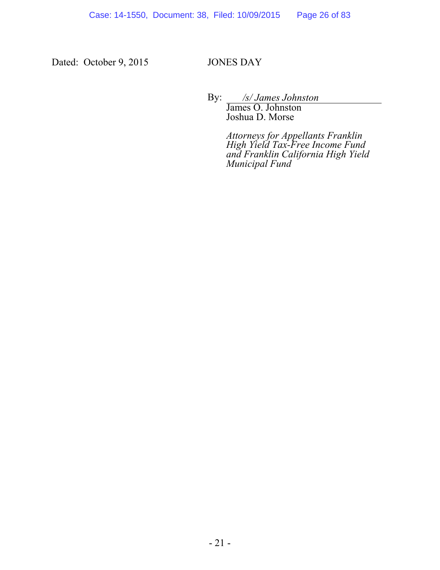Dated: October 9, 2015 JONES DAY

By: */s/ James Johnston* 

James O. Johnston Joshua D. Morse

*Attorneys for Appellants Franklin High Yield Tax-Free Income Fund and Franklin California High Yield Municipal Fund*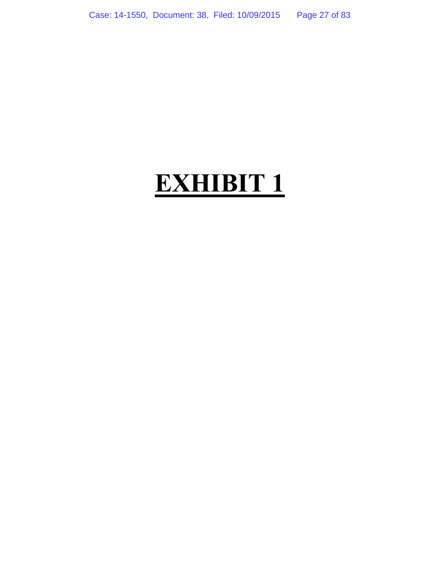# **EXHIBIT 1**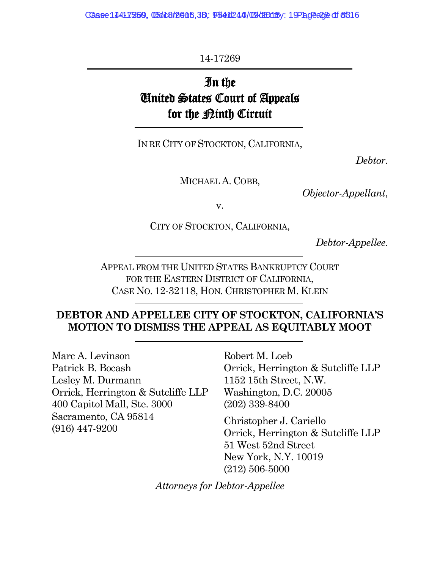Case 14417259, 05018/2015, 38: 9541244/09 (EH) 15/ 19 Page 216 0f 816

14-17269

# In the United States Court of Appeals for the <u>Pinth</u> Circuit

IN RE CITY OF STOCKTON, CALIFORNIA,

*Debtor.*

MICHAEL A. COBB,

*Objector-Appellant*,

v.

CITY OF STOCKTON, CALIFORNIA,

*Debtor-Appellee.*

APPEAL FROM THE UNITED STATES BANKRUPTCY COURT FOR THE EASTERN DISTRICT OF CALIFORNIA, CASE NO. 12-32118, HON. CHRISTOPHER M. KLEIN

## **DEBTOR AND APPELLEE CITY OF STOCKTON, CALIFORNIA'S MOTION TO DISMISS THE APPEAL AS EQUITABLY MOOT**

Marc A. Levinson Patrick B. Bocash Lesley M. Durmann Orrick, Herrington & Sutcliffe LLP 400 Capitol Mall, Ste. 3000 Sacramento, CA 95814 (916) 447-9200

Robert M. Loeb Orrick, Herrington & Sutcliffe LLP 1152 15th Street, N.W. Washington, D.C. 20005 (202) 339-8400

Christopher J. Cariello Orrick, Herrington & Sutcliffe LLP 51 West 52nd Street New York, N.Y. 10019 (212) 506-5000

*Attorneys for Debtor-Appellee*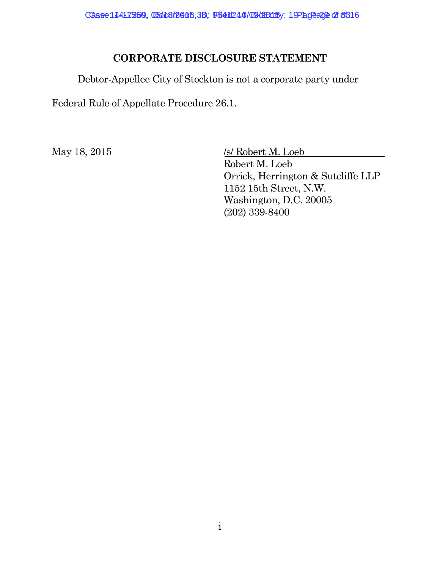Case: 14417250, 05018/2015, 38, 9541244/09 (HB15): 19 Page 2 of 8316

### **CORPORATE DISCLOSURE STATEMENT**

Debtor-Appellee City of Stockton is not a corporate party under

Federal Rule of Appellate Procedure 26.1.

May 18, 2015 /s/ Robert M. Loeb Robert M. Loeb Orrick, Herrington & Sutcliffe LLP 1152 15th Street, N.W. Washington, D.C. 20005 (202) 339-8400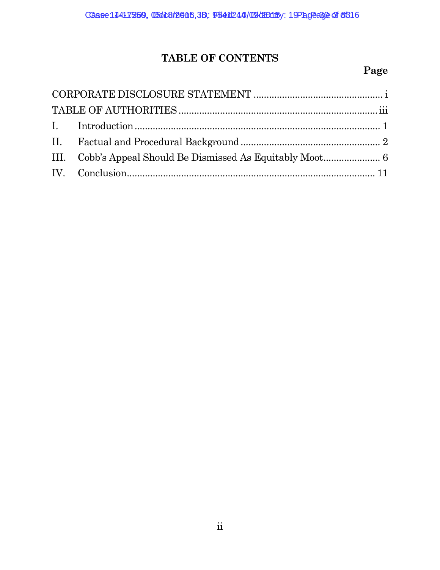# **TABLE OF CONTENTS**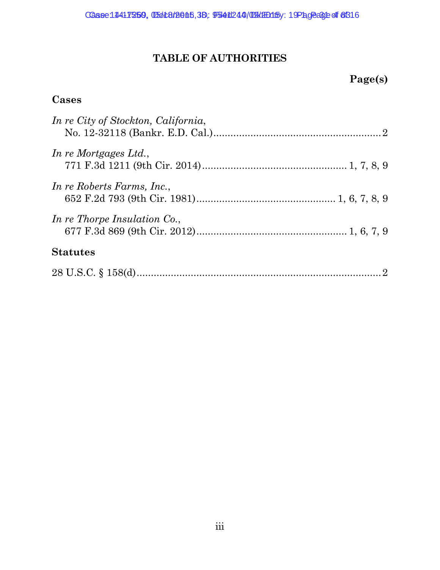# **TABLE OF AUTHORITIES**

# **Page(s)**

## **Cases**

| In re City of Stockton, California, |  |
|-------------------------------------|--|
| In re Mortgages Ltd.,               |  |
| In re Roberts Farms, Inc.,          |  |
| In re Thorpe Insulation Co.,        |  |
| <b>Statutes</b>                     |  |
|                                     |  |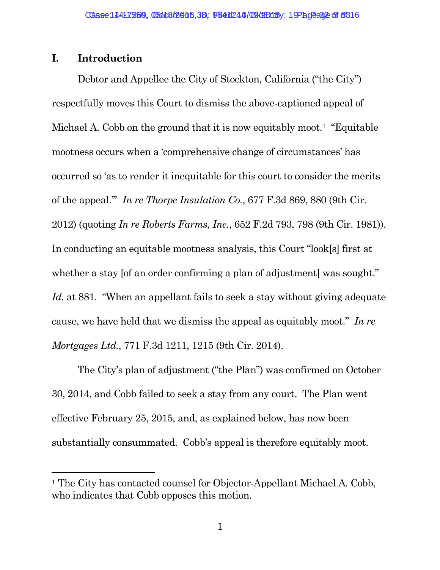#### **I. Introduction**

Debtor and Appellee the City of Stockton, California ("the City") respectfully moves this Court to dismiss the above-captioned appeal of Michael A. Cobb on the ground that it is now equitably moot.<sup>1</sup> "Equitable" mootness occurs when a 'comprehensive change of circumstances' has occurred so 'as to render it inequitable for this court to consider the merits of the appeal.'" *In re Thorpe Insulation Co.*, 677 F.3d 869, 880 (9th Cir. 2012) (quoting *In re Roberts Farms, Inc.*, 652 F.2d 793, 798 (9th Cir. 1981)). In conducting an equitable mootness analysis, this Court "look[s] first at whether a stay [of an order confirming a plan of adjustment] was sought." *Id.* at 881. "When an appellant fails to seek a stay without giving adequate cause, we have held that we dismiss the appeal as equitably moot." *In re Mortgages Ltd.*, 771 F.3d 1211, 1215 (9th Cir. 2014).

The City's plan of adjustment ("the Plan") was confirmed on October 30, 2014, and Cobb failed to seek a stay from any court. The Plan went effective February 25, 2015, and, as explained below, has now been substantially consummated. Cobb's appeal is therefore equitably moot.

<sup>&</sup>lt;sup>1</sup> The City has contacted counsel for Objector-Appellant Michael A. Cobb, who indicates that Cobb opposes this motion.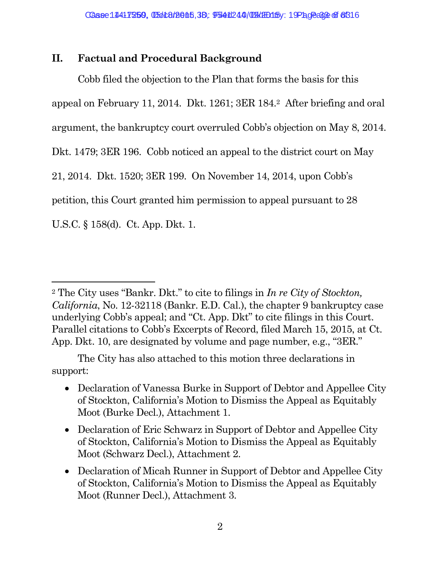## **II. Factual and Procedural Background**

Cobb filed the objection to the Plan that forms the basis for this appeal on February 11, 2014. Dkt. 1261; 3ER 184.<sup>2</sup> After briefing and oral argument, the bankruptcy court overruled Cobb's objection on May 8, 2014. Dkt. 1479; 3ER 196. Cobb noticed an appeal to the district court on May 21, 2014. Dkt. 1520; 3ER 199. On November 14, 2014, upon Cobb's petition, this Court granted him permission to appeal pursuant to 28 U.S.C. § 158(d). Ct. App. Dkt. 1.

The City has also attached to this motion three declarations in support:

- Declaration of Vanessa Burke in Support of Debtor and Appellee City of Stockton, California's Motion to Dismiss the Appeal as Equitably Moot (Burke Decl.), Attachment 1.
- Declaration of Eric Schwarz in Support of Debtor and Appellee City of Stockton, California's Motion to Dismiss the Appeal as Equitably Moot (Schwarz Decl.), Attachment 2.
- Declaration of Micah Runner in Support of Debtor and Appellee City of Stockton, California's Motion to Dismiss the Appeal as Equitably Moot (Runner Decl.), Attachment 3.

<sup>2</sup> The City uses "Bankr. Dkt." to cite to filings in *In re City of Stockton, California*, No. 12-32118 (Bankr. E.D. Cal.), the chapter 9 bankruptcy case underlying Cobb's appeal; and "Ct. App. Dkt" to cite filings in this Court. Parallel citations to Cobb's Excerpts of Record, filed March 15, 2015, at Ct. App. Dkt. 10, are designated by volume and page number, e.g., "3ER."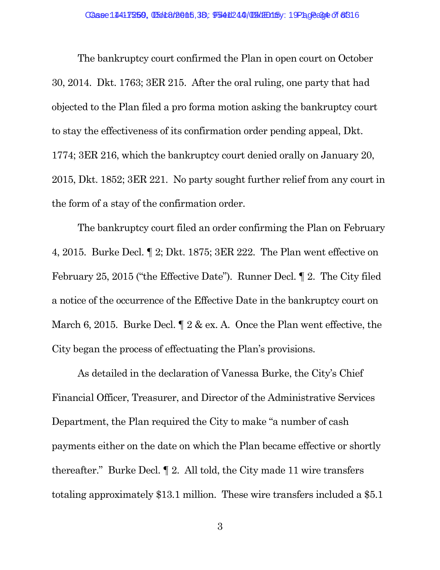The bankruptcy court confirmed the Plan in open court on October 30, 2014. Dkt. 1763; 3ER 215. After the oral ruling, one party that had objected to the Plan filed a pro forma motion asking the bankruptcy court to stay the effectiveness of its confirmation order pending appeal, Dkt. 1774; 3ER 216, which the bankruptcy court denied orally on January 20, 2015, Dkt. 1852; 3ER 221. No party sought further relief from any court in the form of a stay of the confirmation order.

The bankruptcy court filed an order confirming the Plan on February 4, 2015. Burke Decl. ¶ 2; Dkt. 1875; 3ER 222. The Plan went effective on February 25, 2015 ("the Effective Date"). Runner Decl. ¶ 2. The City filed a notice of the occurrence of the Effective Date in the bankruptcy court on March 6, 2015. Burke Decl.  $\parallel 2 \& \text{ ex. A}$ . Once the Plan went effective, the City began the process of effectuating the Plan's provisions.

As detailed in the declaration of Vanessa Burke, the City's Chief Financial Officer, Treasurer, and Director of the Administrative Services Department, the Plan required the City to make "a number of cash payments either on the date on which the Plan became effective or shortly thereafter." Burke Decl. ¶ 2. All told, the City made 11 wire transfers totaling approximately \$13.1 million. These wire transfers included a \$5.1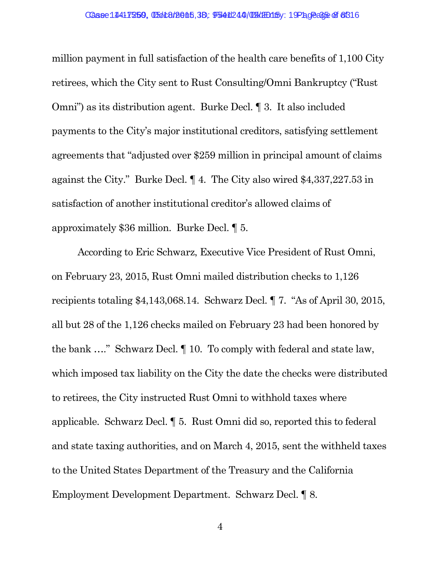million payment in full satisfaction of the health care benefits of 1,100 City retirees, which the City sent to Rust Consulting/Omni Bankruptcy ("Rust Omni") as its distribution agent. Burke Decl. ¶ 3. It also included payments to the City's major institutional creditors, satisfying settlement agreements that "adjusted over \$259 million in principal amount of claims against the City." Burke Decl. ¶ 4. The City also wired \$4,337,227.53 in satisfaction of another institutional creditor's allowed claims of approximately \$36 million. Burke Decl. ¶ 5.

According to Eric Schwarz, Executive Vice President of Rust Omni, on February 23, 2015, Rust Omni mailed distribution checks to 1,126 recipients totaling \$4,143,068.14. Schwarz Decl. ¶ 7. "As of April 30, 2015, all but 28 of the 1,126 checks mailed on February 23 had been honored by the bank …." Schwarz Decl. ¶ 10. To comply with federal and state law, which imposed tax liability on the City the date the checks were distributed to retirees, the City instructed Rust Omni to withhold taxes where applicable. Schwarz Decl. ¶ 5. Rust Omni did so, reported this to federal and state taxing authorities, and on March 4, 2015, sent the withheld taxes to the United States Department of the Treasury and the California Employment Development Department. Schwarz Decl. ¶ 8.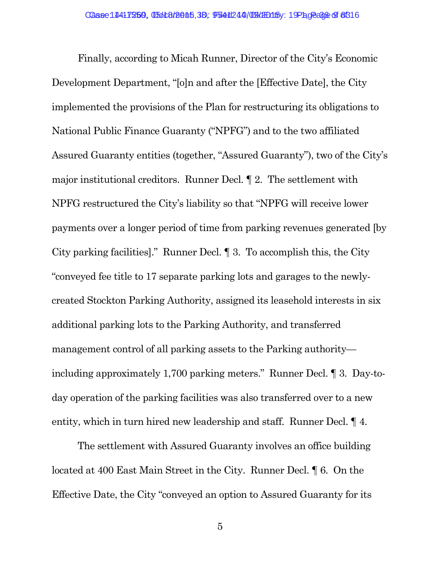Finally, according to Micah Runner, Director of the City's Economic Development Department, "[o]n and after the [Effective Date], the City implemented the provisions of the Plan for restructuring its obligations to National Public Finance Guaranty ("NPFG") and to the two affiliated Assured Guaranty entities (together, "Assured Guaranty"), two of the City's major institutional creditors. Runner Decl. ¶ 2. The settlement with NPFG restructured the City's liability so that "NPFG will receive lower payments over a longer period of time from parking revenues generated [by City parking facilities]." Runner Decl. ¶ 3. To accomplish this, the City "conveyed fee title to 17 separate parking lots and garages to the newlycreated Stockton Parking Authority, assigned its leasehold interests in six additional parking lots to the Parking Authority, and transferred management control of all parking assets to the Parking authority including approximately 1,700 parking meters." Runner Decl. ¶ 3. Day-today operation of the parking facilities was also transferred over to a new entity, which in turn hired new leadership and staff. Runner Decl. ¶ 4.

The settlement with Assured Guaranty involves an office building located at 400 East Main Street in the City. Runner Decl. ¶ 6. On the Effective Date, the City "conveyed an option to Assured Guaranty for its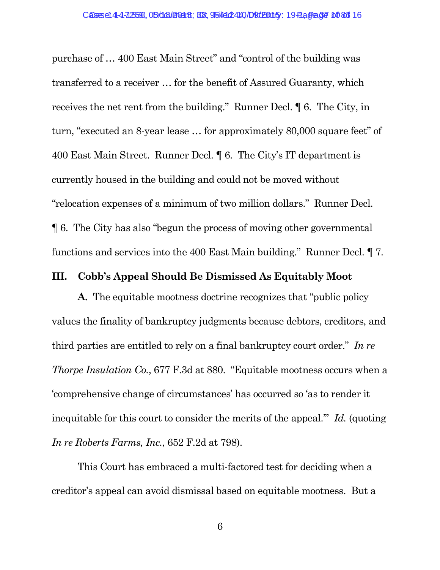purchase of … 400 East Main Street" and "control of the building was transferred to a receiver … for the benefit of Assured Guaranty, which receives the net rent from the building." Runner Decl. ¶ 6. The City, in turn, "executed an 8-year lease … for approximately 80,000 square feet" of 400 East Main Street. Runner Decl. ¶ 6. The City's IT department is currently housed in the building and could not be moved without "relocation expenses of a minimum of two million dollars." Runner Decl. ¶ 6. The City has also "begun the process of moving other governmental functions and services into the 400 East Main building." Runner Decl. ¶ 7.

#### **III. Cobb's Appeal Should Be Dismissed As Equitably Moot**

**A.** The equitable mootness doctrine recognizes that "public policy values the finality of bankruptcy judgments because debtors, creditors, and third parties are entitled to rely on a final bankruptcy court order." *In re Thorpe Insulation Co.*, 677 F.3d at 880. "Equitable mootness occurs when a 'comprehensive change of circumstances' has occurred so 'as to render it inequitable for this court to consider the merits of the appeal.'" *Id.* (quoting *In re Roberts Farms, Inc.*, 652 F.2d at 798).

This Court has embraced a multi-factored test for deciding when a creditor's appeal can avoid dismissal based on equitable mootness. But a

6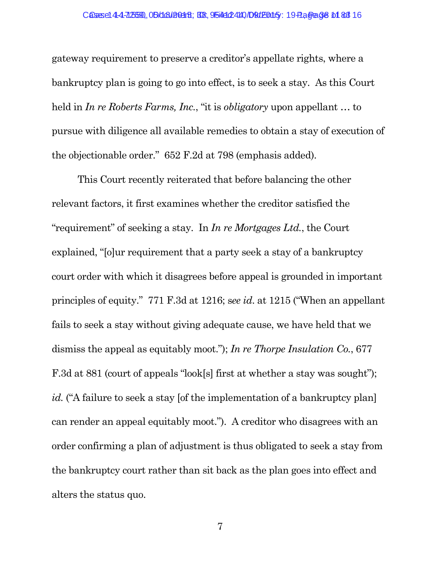gateway requirement to preserve a creditor's appellate rights, where a bankruptcy plan is going to go into effect, is to seek a stay. As this Court held in *In re Roberts Farms, Inc.*, "it is *obligatory* upon appellant … to pursue with diligence all available remedies to obtain a stay of execution of the objectionable order." 652 F.2d at 798 (emphasis added).

This Court recently reiterated that before balancing the other relevant factors, it first examines whether the creditor satisfied the "requirement" of seeking a stay. In *In re Mortgages Ltd.*, the Court explained, "[o]ur requirement that a party seek a stay of a bankruptcy court order with which it disagrees before appeal is grounded in important principles of equity." 771 F.3d at 1216; s*ee id*. at 1215 ("When an appellant fails to seek a stay without giving adequate cause, we have held that we dismiss the appeal as equitably moot."); *In re Thorpe Insulation Co.*, 677 F.3d at 881 (court of appeals "look[s] first at whether a stay was sought"); *id.* ("A failure to seek a stay [of the implementation of a bankruptcy plan] can render an appeal equitably moot."). A creditor who disagrees with an order confirming a plan of adjustment is thus obligated to seek a stay from the bankruptcy court rather than sit back as the plan goes into effect and alters the status quo.

7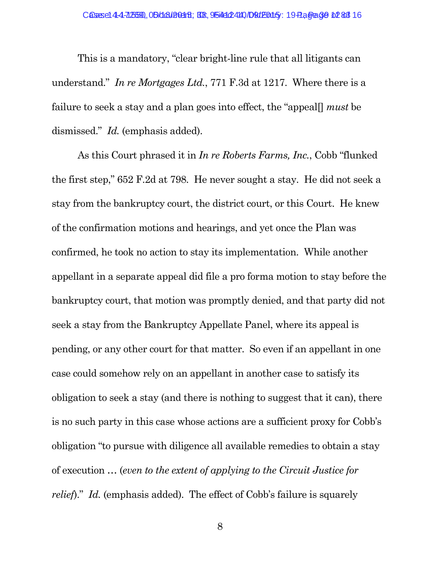This is a mandatory, "clear bright-line rule that all litigants can understand." *In re Mortgages Ltd.*, 771 F.3d at 1217. Where there is a failure to seek a stay and a plan goes into effect, the "appeal[] *must* be dismissed." *Id.* (emphasis added).

As this Court phrased it in *In re Roberts Farms, Inc.*, Cobb "flunked the first step," 652 F.2d at 798. He never sought a stay. He did not seek a stay from the bankruptcy court, the district court, or this Court. He knew of the confirmation motions and hearings, and yet once the Plan was confirmed, he took no action to stay its implementation. While another appellant in a separate appeal did file a pro forma motion to stay before the bankruptcy court, that motion was promptly denied, and that party did not seek a stay from the Bankruptcy Appellate Panel, where its appeal is pending, or any other court for that matter. So even if an appellant in one case could somehow rely on an appellant in another case to satisfy its obligation to seek a stay (and there is nothing to suggest that it can), there is no such party in this case whose actions are a sufficient proxy for Cobb's obligation "to pursue with diligence all available remedies to obtain a stay of execution … (*even to the extent of applying to the Circuit Justice for relief*)." *Id.* (emphasis added). The effect of Cobb's failure is squarely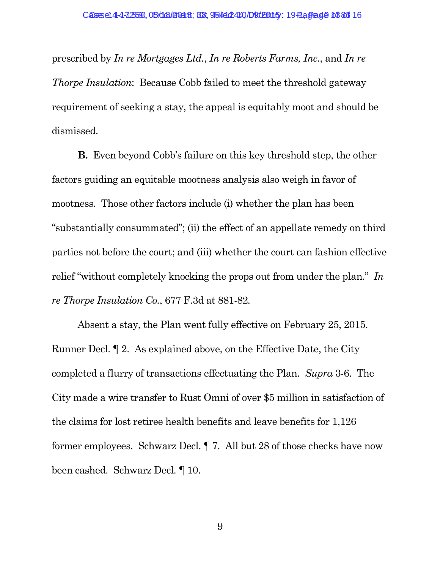prescribed by *In re Mortgages Ltd.*, *In re Roberts Farms, Inc.*, and *In re Thorpe Insulation*: Because Cobb failed to meet the threshold gateway requirement of seeking a stay, the appeal is equitably moot and should be dismissed.

**B.** Even beyond Cobb's failure on this key threshold step, the other factors guiding an equitable mootness analysis also weigh in favor of mootness. Those other factors include (i) whether the plan has been "substantially consummated"; (ii) the effect of an appellate remedy on third parties not before the court; and (iii) whether the court can fashion effective relief "without completely knocking the props out from under the plan." *In re Thorpe Insulation Co.*, 677 F.3d at 881-82*.*

Absent a stay, the Plan went fully effective on February 25, 2015. Runner Decl. ¶ 2. As explained above, on the Effective Date, the City completed a flurry of transactions effectuating the Plan. *Supra* 3-6. The City made a wire transfer to Rust Omni of over \$5 million in satisfaction of the claims for lost retiree health benefits and leave benefits for 1,126 former employees. Schwarz Decl. ¶ 7. All but 28 of those checks have now been cashed. Schwarz Decl. ¶ 10.

9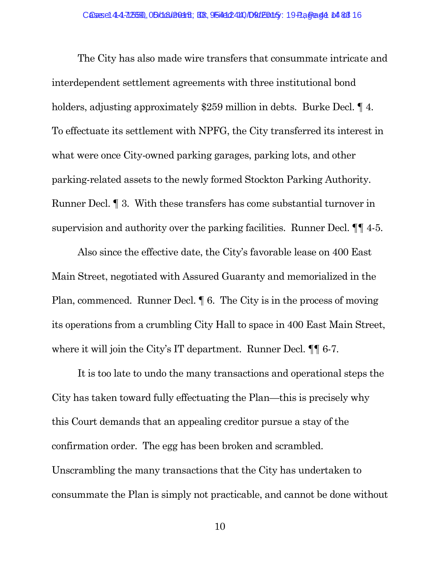The City has also made wire transfers that consummate intricate and interdependent settlement agreements with three institutional bond holders, adjusting approximately \$259 million in debts. Burke Decl.  $\P$  4. To effectuate its settlement with NPFG, the City transferred its interest in what were once City-owned parking garages, parking lots, and other parking-related assets to the newly formed Stockton Parking Authority. Runner Decl. ¶ 3. With these transfers has come substantial turnover in supervision and authority over the parking facilities. Runner Decl.  $\P\P$  4-5.

Also since the effective date, the City's favorable lease on 400 East Main Street, negotiated with Assured Guaranty and memorialized in the Plan, commenced. Runner Decl. ¶ 6. The City is in the process of moving its operations from a crumbling City Hall to space in 400 East Main Street, where it will join the City's IT department. Runner Decl.  $\P\P$  6-7.

It is too late to undo the many transactions and operational steps the City has taken toward fully effectuating the Plan—this is precisely why this Court demands that an appealing creditor pursue a stay of the confirmation order. The egg has been broken and scrambled. Unscrambling the many transactions that the City has undertaken to consummate the Plan is simply not practicable, and cannot be done without

10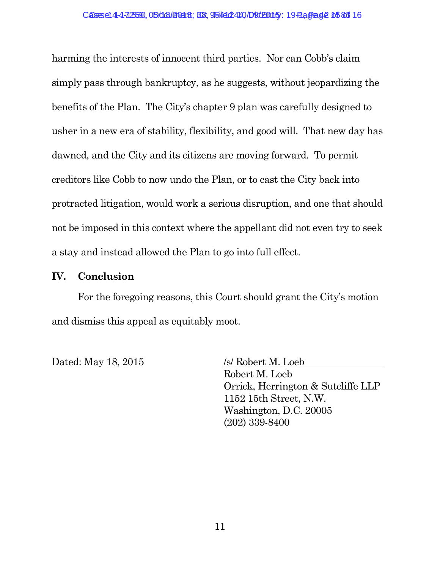harming the interests of innocent third parties. Nor can Cobb's claim simply pass through bankruptcy, as he suggests, without jeopardizing the benefits of the Plan. The City's chapter 9 plan was carefully designed to usher in a new era of stability, flexibility, and good will. That new day has dawned, and the City and its citizens are moving forward. To permit creditors like Cobb to now undo the Plan, or to cast the City back into protracted litigation, would work a serious disruption, and one that should not be imposed in this context where the appellant did not even try to seek a stay and instead allowed the Plan to go into full effect.

#### **IV. Conclusion**

For the foregoing reasons, this Court should grant the City's motion and dismiss this appeal as equitably moot.

Dated: May 18, 2015 /s/ Robert M. Loeb

Robert M. Loeb Orrick, Herrington & Sutcliffe LLP 1152 15th Street, N.W. Washington, D.C. 20005

(202) 339-8400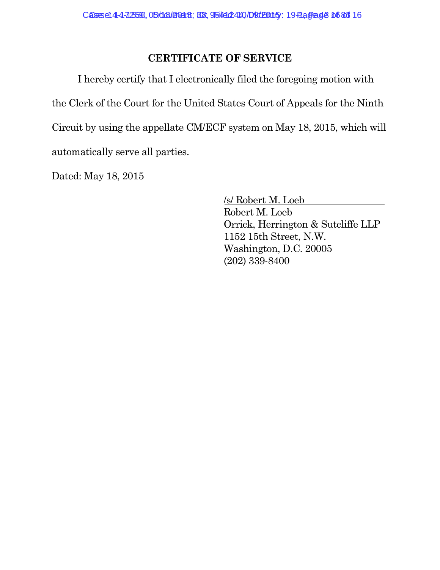#### **CERTIFICATE OF SERVICE**

I hereby certify that I electronically filed the foregoing motion with the Clerk of the Court for the United States Court of Appeals for the Ninth Circuit by using the appellate CM/ECF system on May 18, 2015, which will automatically serve all parties.

Dated: May 18, 2015

/s/ Robert M. Loeb Robert M. Loeb Orrick, Herrington & Sutcliffe LLP 1152 15th Street, N.W. Washington, D.C. 20005 (202) 339-8400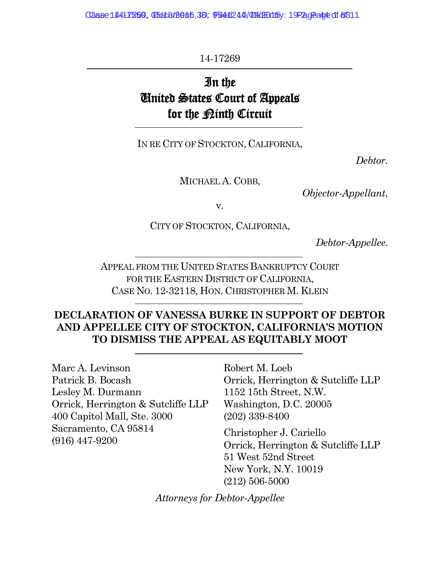Case: 14417259, 05618/2015, 38, 9541244/09 (RH) 15/ 19-2, Page 44 of 8311

14-17269

# In the United States Court of Appeals for the <u>Pinth</u> Circuit

IN RE CITY OF STOCKTON, CALIFORNIA,

*Debtor.*

MICHAEL A. COBB,

*Objector-Appellant*,

v.

CITY OF STOCKTON, CALIFORNIA,

*Debtor-Appellee.*

APPEAL FROM THE UNITED STATES BANKRUPTCY COURT FOR THE EASTERN DISTRICT OF CALIFORNIA, CASE NO. 12-32118, HON. CHRISTOPHER M. KLEIN

#### **DECLARATION OF VANESSA BURKE IN SUPPORT OF DEBTOR AND APPELLEE CITY OF STOCKTON, CALIFORNIA'S MOTION TO DISMISS THE APPEAL AS EQUITABLY MOOT**

Marc A. Levinson Patrick B. Bocash Lesley M. Durmann Orrick, Herrington & Sutcliffe LLP 400 Capitol Mall, Ste. 3000 Sacramento, CA 95814 (916) 447-9200

Robert M. Loeb Orrick, Herrington & Sutcliffe LLP 1152 15th Street, N.W. Washington, D.C. 20005 (202) 339-8400

Christopher J. Cariello Orrick, Herrington & Sutcliffe LLP 51 West 52nd Street New York, N.Y. 10019 (212) 506-5000

*Attorneys for Debtor-Appellee*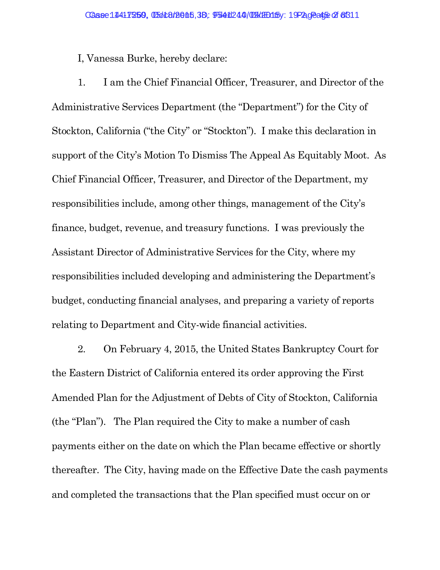I, Vanessa Burke, hereby declare:

1. I am the Chief Financial Officer, Treasurer, and Director of the Administrative Services Department (the "Department") for the City of Stockton, California ("the City" or "Stockton"). I make this declaration in support of the City's Motion To Dismiss The Appeal As Equitably Moot. As Chief Financial Officer, Treasurer, and Director of the Department, my responsibilities include, among other things, management of the City's finance, budget, revenue, and treasury functions. I was previously the Assistant Director of Administrative Services for the City, where my responsibilities included developing and administering the Department's budget, conducting financial analyses, and preparing a variety of reports relating to Department and City-wide financial activities.

2. On February 4, 2015, the United States Bankruptcy Court for the Eastern District of California entered its order approving the First Amended Plan for the Adjustment of Debts of City of Stockton, California (the "Plan"). The Plan required the City to make a number of cash payments either on the date on which the Plan became effective or shortly thereafter. The City, having made on the Effective Date the cash payments and completed the transactions that the Plan specified must occur on or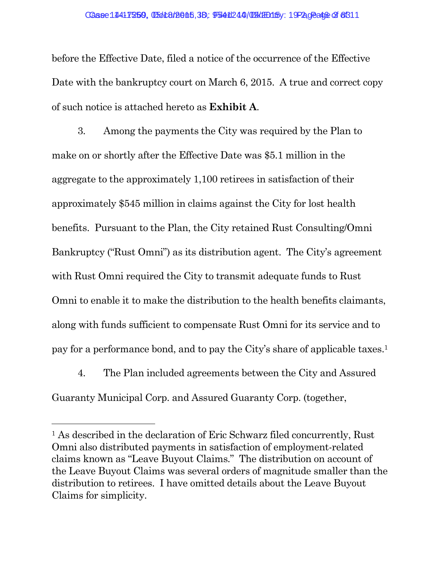before the Effective Date, filed a notice of the occurrence of the Effective Date with the bankruptcy court on March 6, 2015. A true and correct copy of such notice is attached hereto as **Exhibit A**.

3. Among the payments the City was required by the Plan to make on or shortly after the Effective Date was \$5.1 million in the aggregate to the approximately 1,100 retirees in satisfaction of their approximately \$545 million in claims against the City for lost health benefits. Pursuant to the Plan, the City retained Rust Consulting/Omni Bankruptcy ("Rust Omni") as its distribution agent. The City's agreement with Rust Omni required the City to transmit adequate funds to Rust Omni to enable it to make the distribution to the health benefits claimants, along with funds sufficient to compensate Rust Omni for its service and to pay for a performance bond, and to pay the City's share of applicable taxes.<sup>1</sup>

4. The Plan included agreements between the City and Assured Guaranty Municipal Corp. and Assured Guaranty Corp. (together,

<sup>&</sup>lt;sup>1</sup> As described in the declaration of Eric Schwarz filed concurrently, Rust Omni also distributed payments in satisfaction of employment-related claims known as "Leave Buyout Claims." The distribution on account of the Leave Buyout Claims was several orders of magnitude smaller than the distribution to retirees. I have omitted details about the Leave Buyout Claims for simplicity.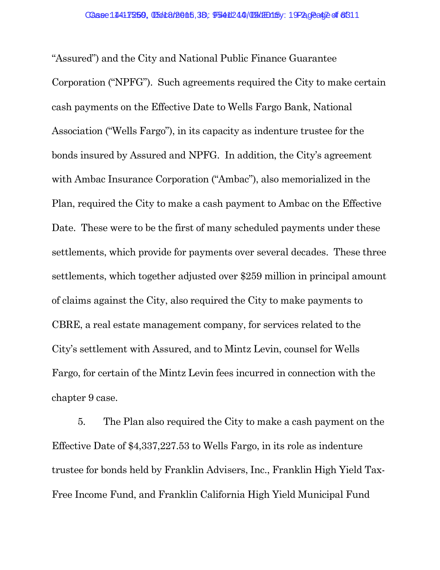"Assured") and the City and National Public Finance Guarantee Corporation ("NPFG"). Such agreements required the City to make certain cash payments on the Effective Date to Wells Fargo Bank, National Association ("Wells Fargo"), in its capacity as indenture trustee for the bonds insured by Assured and NPFG. In addition, the City's agreement with Ambac Insurance Corporation ("Ambac"), also memorialized in the Plan, required the City to make a cash payment to Ambac on the Effective Date. These were to be the first of many scheduled payments under these settlements, which provide for payments over several decades. These three settlements, which together adjusted over \$259 million in principal amount of claims against the City, also required the City to make payments to CBRE, a real estate management company, for services related to the City's settlement with Assured, and to Mintz Levin, counsel for Wells Fargo, for certain of the Mintz Levin fees incurred in connection with the chapter 9 case.

5. The Plan also required the City to make a cash payment on the Effective Date of \$4,337,227.53 to Wells Fargo, in its role as indenture trustee for bonds held by Franklin Advisers, Inc., Franklin High Yield Tax-Free Income Fund, and Franklin California High Yield Municipal Fund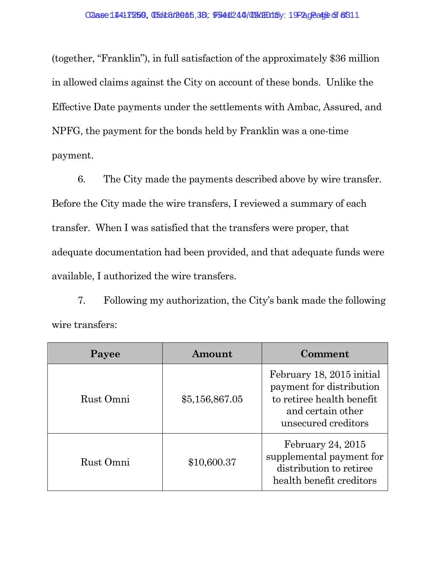(together, "Franklin"), in full satisfaction of the approximately \$36 million in allowed claims against the City on account of these bonds. Unlike the Effective Date payments under the settlements with Ambac, Assured, and NPFG, the payment for the bonds held by Franklin was a one-time payment.

6. The City made the payments described above by wire transfer. Before the City made the wire transfers, I reviewed a summary of each transfer. When I was satisfied that the transfers were proper, that adequate documentation had been provided, and that adequate funds were available, I authorized the wire transfers.

7. Following my authorization, the City's bank made the following wire transfers:

| Payee     | Amount         | Comment                                                                                                                        |
|-----------|----------------|--------------------------------------------------------------------------------------------------------------------------------|
| Rust Omni | \$5,156,867.05 | February 18, 2015 initial<br>payment for distribution<br>to retiree health benefit<br>and certain other<br>unsecured creditors |
| Rust Omni | \$10,600.37    | February 24, $2015$<br>supplemental payment for<br>distribution to retiree<br>health benefit creditors                         |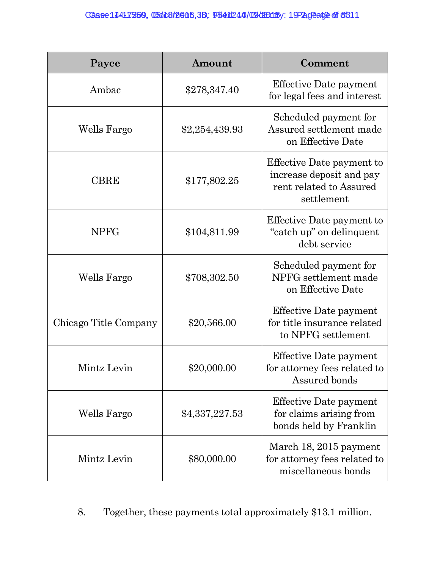| Payee                 | Amount         | Comment                                                                                        |
|-----------------------|----------------|------------------------------------------------------------------------------------------------|
| Ambac                 | \$278,347.40   | <b>Effective Date payment</b><br>for legal fees and interest                                   |
| Wells Fargo           | \$2,254,439.93 | Scheduled payment for<br>Assured settlement made<br>on Effective Date                          |
| <b>CBRE</b>           | \$177,802.25   | Effective Date payment to<br>increase deposit and pay<br>rent related to Assured<br>settlement |
| <b>NPFG</b>           | \$104,811.99   | Effective Date payment to<br>"catch up" on delinquent<br>debt service                          |
| Wells Fargo           | \$708,302.50   | Scheduled payment for<br>NPFG settlement made<br>on Effective Date                             |
| Chicago Title Company | \$20,566.00    | <b>Effective Date payment</b><br>for title insurance related<br>to NPFG settlement             |
| Mintz Levin           | \$20,000.00    | Effective Date payment<br>for attorney fees related to<br>Assured bonds                        |
| Wells Fargo           | \$4,337,227.53 | <b>Effective Date payment</b><br>for claims arising from<br>bonds held by Franklin             |
| Mintz Levin           | \$80,000.00    | March 18, 2015 payment<br>for attorney fees related to<br>miscellaneous bonds                  |

8. Together, these payments total approximately \$13.1 million.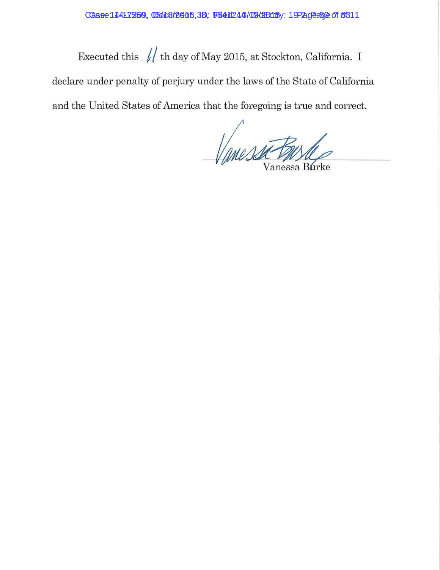Executed this  $\sqrt{\frac{1}{\hbar}}$ th day of May 2015, at Stockton, California. I declare under penalty of perjury under the laws of the State of California

and the United States of America that the foregoing is true and correct.

Vanessa tous Vanessa Burke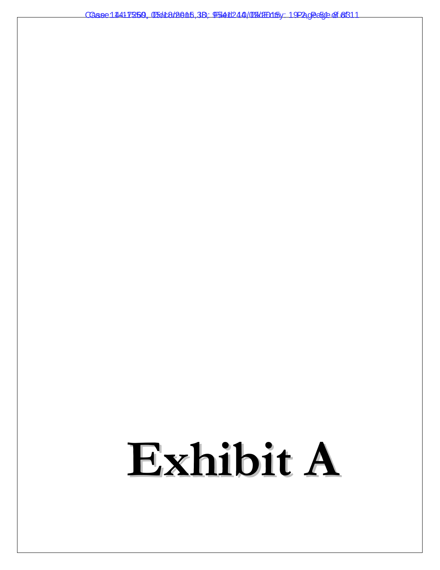Case: 1441 7550, 05418/2015, 3B: 9541244/09/2015 / 19-2, Page 51 0f 831 1

# **Exhibit A**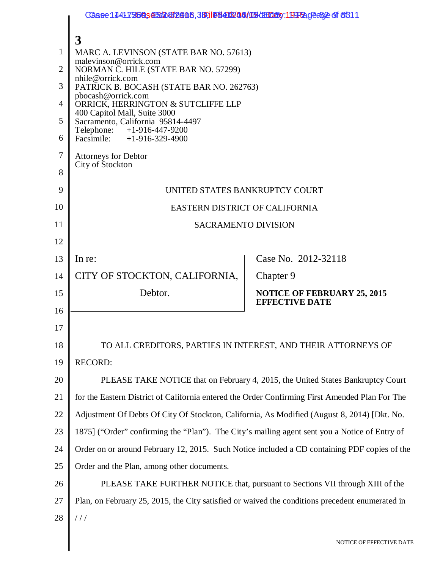|                | Case 14417268, 0514839018, 39, 196403/09/05 (HD 50: 1992, 0256 2 6 6611                         |                                                                                 |  |  |  |
|----------------|-------------------------------------------------------------------------------------------------|---------------------------------------------------------------------------------|--|--|--|
|                | 3                                                                                               |                                                                                 |  |  |  |
| 1              | MARC A. LEVINSON (STATE BAR NO. 57613)                                                          |                                                                                 |  |  |  |
| $\overline{2}$ | malevinson@orrick.com<br>NORMAN C. HILE (STATE BAR NO. 57299)                                   |                                                                                 |  |  |  |
| 3              | nhile@orrick.com<br>PATRICK B. BOCASH (STATE BAR NO. 262763)                                    |                                                                                 |  |  |  |
| 4              | pbocash@orrick.com<br>ORRICK, HERRINGTON & SUTCLIFFE LLP                                        |                                                                                 |  |  |  |
| 5              | 400 Capitol Mall, Suite 3000<br>Sacramento, California 95814-4497                               |                                                                                 |  |  |  |
| 6              | Telephone: +1-916-447-9200<br>Facsimile: +1-916-329-4900                                        |                                                                                 |  |  |  |
| 7              | <b>Attorneys for Debtor</b>                                                                     |                                                                                 |  |  |  |
| 8              | City of Stockton                                                                                |                                                                                 |  |  |  |
| 9              | UNITED STATES BANKRUPTCY COURT                                                                  |                                                                                 |  |  |  |
| 10             | EASTERN DISTRICT OF CALIFORNIA                                                                  |                                                                                 |  |  |  |
| 11             | <b>SACRAMENTO DIVISION</b>                                                                      |                                                                                 |  |  |  |
| 12             |                                                                                                 |                                                                                 |  |  |  |
| 13             | In re:                                                                                          | Case No. 2012-32118                                                             |  |  |  |
| 14             | CITY OF STOCKTON, CALIFORNIA,                                                                   | Chapter 9                                                                       |  |  |  |
| 15             | Debtor.                                                                                         | <b>NOTICE OF FEBRUARY 25, 2015</b><br><b>EFFECTIVE DATE</b>                     |  |  |  |
| 16             |                                                                                                 |                                                                                 |  |  |  |
| 17             |                                                                                                 |                                                                                 |  |  |  |
| 18             |                                                                                                 | TO ALL CREDITORS, PARTIES IN INTEREST, AND THEIR ATTORNEYS OF                   |  |  |  |
| 19             | <b>RECORD:</b>                                                                                  |                                                                                 |  |  |  |
| 20             |                                                                                                 | PLEASE TAKE NOTICE that on February 4, 2015, the United States Bankruptcy Court |  |  |  |
| 21             | for the Eastern District of California entered the Order Confirming First Amended Plan For The  |                                                                                 |  |  |  |
| 22             | Adjustment Of Debts Of City Of Stockton, California, As Modified (August 8, 2014) [Dkt. No.     |                                                                                 |  |  |  |
| 23             | 1875] ("Order" confirming the "Plan"). The City's mailing agent sent you a Notice of Entry of   |                                                                                 |  |  |  |
| 24             | Order on or around February 12, 2015. Such Notice included a CD containing PDF copies of the    |                                                                                 |  |  |  |
| 25             | Order and the Plan, among other documents.                                                      |                                                                                 |  |  |  |
| 26             |                                                                                                 | PLEASE TAKE FURTHER NOTICE that, pursuant to Sections VII through XIII of the   |  |  |  |
| 27             | Plan, on February 25, 2015, the City satisfied or waived the conditions precedent enumerated in |                                                                                 |  |  |  |
| 28             | 111                                                                                             |                                                                                 |  |  |  |
|                |                                                                                                 | NOTICE OF EFFECTIVE DATE                                                        |  |  |  |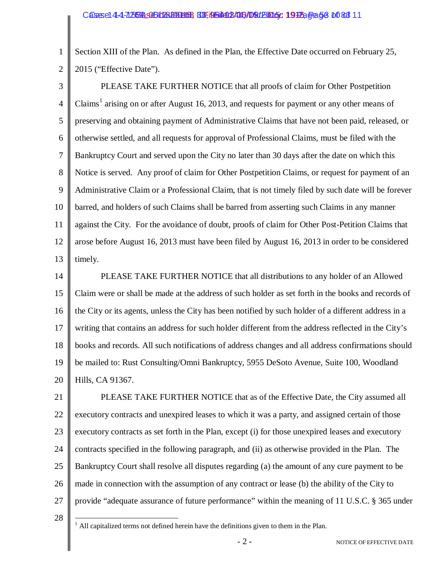2 Section XIII of the Plan. As defined in the Plan, the Effective Date occurred on February 25, 2015 ("Effective Date").

3

1

4 5 6 7 8 9 10 11 12 13 PLEASE TAKE FURTHER NOTICE that all proofs of claim for Other Postpetition Claims<sup>1</sup> arising on or after August 16, 2013, and requests for payment or any other means of preserving and obtaining payment of Administrative Claims that have not been paid, released, or otherwise settled, and all requests for approval of Professional Claims, must be filed with the Bankruptcy Court and served upon the City no later than 30 days after the date on which this Notice is served. Any proof of claim for Other Postpetition Claims, or request for payment of an Administrative Claim or a Professional Claim, that is not timely filed by such date will be forever barred, and holders of such Claims shall be barred from asserting such Claims in any manner against the City. For the avoidance of doubt, proofs of claim for Other Post-Petition Claims that arose before August 16, 2013 must have been filed by August 16, 2013 in order to be considered timely.

14 15 16 17 18 19 20 PLEASE TAKE FURTHER NOTICE that all distributions to any holder of an Allowed Claim were or shall be made at the address of such holder as set forth in the books and records of the City or its agents, unless the City has been notified by such holder of a different address in a writing that contains an address for such holder different from the address reflected in the City's books and records. All such notifications of address changes and all address confirmations should be mailed to: Rust Consulting/Omni Bankruptcy, 5955 DeSoto Avenue, Suite 100, Woodland Hills, CA 91367.

21 22 23 24 25 26 27 PLEASE TAKE FURTHER NOTICE that as of the Effective Date, the City assumed all executory contracts and unexpired leases to which it was a party, and assigned certain of those executory contracts as set forth in the Plan, except (i) for those unexpired leases and executory contracts specified in the following paragraph, and (ii) as otherwise provided in the Plan. The Bankruptcy Court shall resolve all disputes regarding (a) the amount of any cure payment to be made in connection with the assumption of any contract or lease (b) the ability of the City to provide "adequate assurance of future performance" within the meaning of 11 U.S.C. § 365 under

28

All capitalized terms not defined herein have the definitions given to them in the Plan.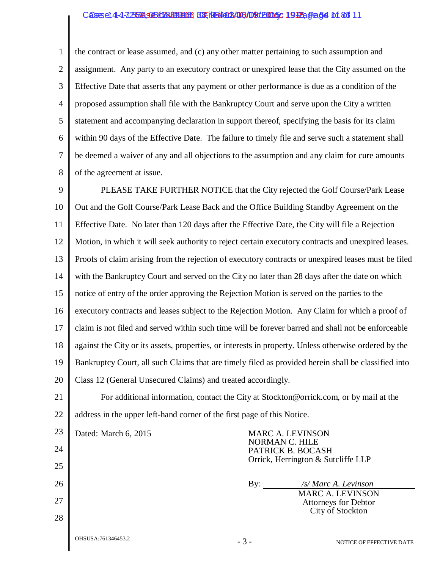#### Cases: 14-17569, 051124221468, BE Ned 126, Decker 2015, 1995, Gene 54 of 83 11

1

2

8

3 4 5 6 7 the contract or lease assumed, and (c) any other matter pertaining to such assumption and assignment. Any party to an executory contract or unexpired lease that the City assumed on the Effective Date that asserts that any payment or other performance is due as a condition of the proposed assumption shall file with the Bankruptcy Court and serve upon the City a written statement and accompanying declaration in support thereof, specifying the basis for its claim within 90 days of the Effective Date. The failure to timely file and serve such a statement shall be deemed a waiver of any and all objections to the assumption and any claim for cure amounts of the agreement at issue.

9 10 11 12 13 14 15 16 17 18 19 20 PLEASE TAKE FURTHER NOTICE that the City rejected the Golf Course/Park Lease Out and the Golf Course/Park Lease Back and the Office Building Standby Agreement on the Effective Date. No later than 120 days after the Effective Date, the City will file a Rejection Motion, in which it will seek authority to reject certain executory contracts and unexpired leases. Proofs of claim arising from the rejection of executory contracts or unexpired leases must be filed with the Bankruptcy Court and served on the City no later than 28 days after the date on which notice of entry of the order approving the Rejection Motion is served on the parties to the executory contracts and leases subject to the Rejection Motion. Any Claim for which a proof of claim is not filed and served within such time will be forever barred and shall not be enforceable against the City or its assets, properties, or interests in property. Unless otherwise ordered by the Bankruptcy Court, all such Claims that are timely filed as provided herein shall be classified into Class 12 (General Unsecured Claims) and treated accordingly.

21 22 For additional information, contact the City at Stockton@orrick.com, or by mail at the address in the upper left-hand corner of the first page of this Notice.

- 3 - NOTICE OF EFFECTIVE DATE 23 24 25 26 27 28 Dated: March 6, 2015 MARC A. LEVINSON NORMAN C. HILE PATRICK B. BOCASH Orrick, Herrington & Sutcliffe LLP By: */s/ Marc A. Levinson* MARC A. LEVINSON Attorneys for Debtor City of Stockton OHSUSA:761346453.2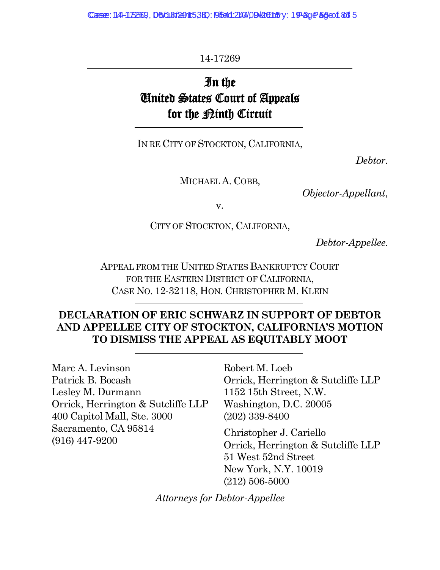Case: 14-15569, D5/18/180153BD: 9541240409 RaEntry: 19-3g P5501 83 5

14-17269

# In the United States Court of Appeals for the <u>Pinth</u> Circuit

IN RE CITY OF STOCKTON, CALIFORNIA,

*Debtor.*

MICHAEL A. COBB,

*Objector-Appellant*,

v.

CITY OF STOCKTON, CALIFORNIA,

*Debtor-Appellee.*

APPEAL FROM THE UNITED STATES BANKRUPTCY COURT FOR THE EASTERN DISTRICT OF CALIFORNIA, CASE NO. 12-32118, HON. CHRISTOPHER M. KLEIN

#### **DECLARATION OF ERIC SCHWARZ IN SUPPORT OF DEBTOR AND APPELLEE CITY OF STOCKTON, CALIFORNIA'S MOTION TO DISMISS THE APPEAL AS EQUITABLY MOOT**

Marc A. Levinson Patrick B. Bocash Lesley M. Durmann Orrick, Herrington & Sutcliffe LLP 400 Capitol Mall, Ste. 3000 Sacramento, CA 95814 (916) 447-9200

Robert M. Loeb Orrick, Herrington & Sutcliffe LLP 1152 15th Street, N.W. Washington, D.C. 20005 (202) 339-8400

Christopher J. Cariello Orrick, Herrington & Sutcliffe LLP 51 West 52nd Street New York, N.Y. 10019 (212) 506-5000

*Attorneys for Debtor-Appellee*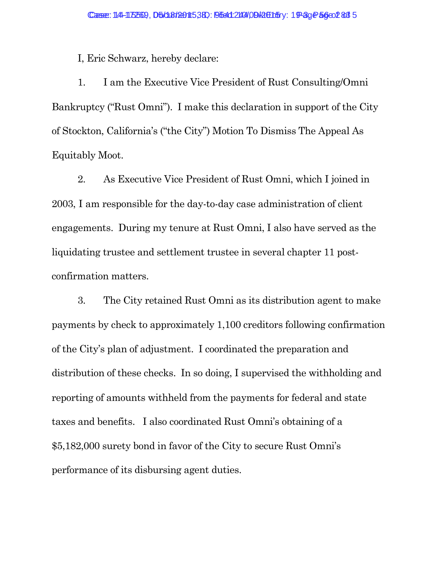I, Eric Schwarz, hereby declare:

1. I am the Executive Vice President of Rust Consulting/Omni Bankruptcy ("Rust Omni"). I make this declaration in support of the City of Stockton, California's ("the City") Motion To Dismiss The Appeal As Equitably Moot.

2. As Executive Vice President of Rust Omni, which I joined in 2003, I am responsible for the day-to-day case administration of client engagements. During my tenure at Rust Omni, I also have served as the liquidating trustee and settlement trustee in several chapter 11 postconfirmation matters.

3. The City retained Rust Omni as its distribution agent to make payments by check to approximately 1,100 creditors following confirmation of the City's plan of adjustment. I coordinated the preparation and distribution of these checks. In so doing, I supervised the withholding and reporting of amounts withheld from the payments for federal and state taxes and benefits. I also coordinated Rust Omni's obtaining of a \$5,182,000 surety bond in favor of the City to secure Rust Omni's performance of its disbursing agent duties.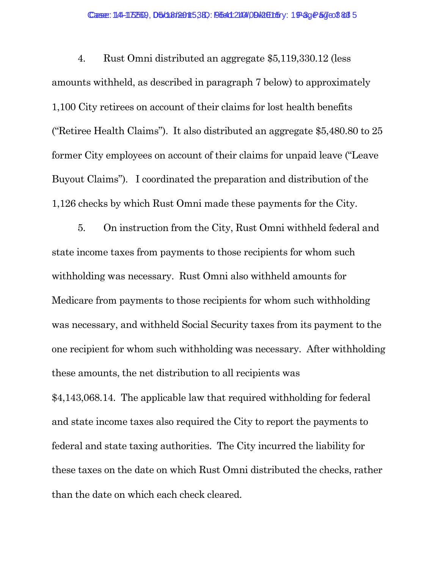#### Case: 14-15569, D5/18/2015380: 9541249/09 RtE15ry: 19-3g P5 de 83 5

4. Rust Omni distributed an aggregate \$5,119,330.12 (less amounts withheld, as described in paragraph 7 below) to approximately 1,100 City retirees on account of their claims for lost health benefits ("Retiree Health Claims"). It also distributed an aggregate \$5,480.80 to 25 former City employees on account of their claims for unpaid leave ("Leave Buyout Claims"). I coordinated the preparation and distribution of the 1,126 checks by which Rust Omni made these payments for the City.

5. On instruction from the City, Rust Omni withheld federal and state income taxes from payments to those recipients for whom such withholding was necessary. Rust Omni also withheld amounts for Medicare from payments to those recipients for whom such withholding was necessary, and withheld Social Security taxes from its payment to the one recipient for whom such withholding was necessary. After withholding these amounts, the net distribution to all recipients was \$4,143,068.14. The applicable law that required withholding for federal and state income taxes also required the City to report the payments to federal and state taxing authorities. The City incurred the liability for these taxes on the date on which Rust Omni distributed the checks, rather than the date on which each check cleared.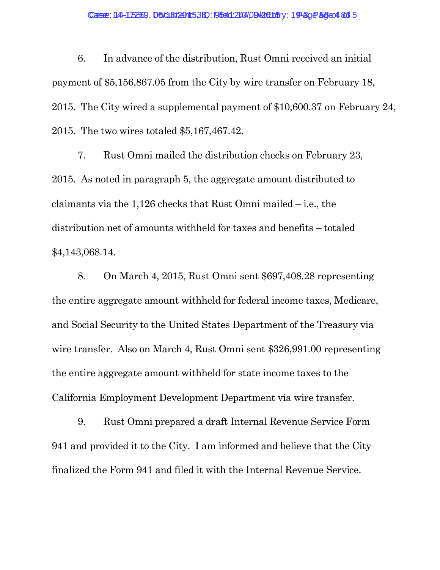6. In advance of the distribution, Rust Omni received an initial payment of \$5,156,867.05 from the City by wire transfer on February 18, 2015. The City wired a supplemental payment of \$10,600.37 on February 24, 2015. The two wires totaled \$5,167,467.42.

7. Rust Omni mailed the distribution checks on February 23, 2015. As noted in paragraph 5, the aggregate amount distributed to claimants via the 1,126 checks that Rust Omni mailed – i.e., the distribution net of amounts withheld for taxes and benefits – totaled \$4,143,068.14.

8. On March 4, 2015, Rust Omni sent \$697,408.28 representing the entire aggregate amount withheld for federal income taxes, Medicare, and Social Security to the United States Department of the Treasury via wire transfer. Also on March 4, Rust Omni sent \$326,991.00 representing the entire aggregate amount withheld for state income taxes to the California Employment Development Department via wire transfer.

9. Rust Omni prepared a draft Internal Revenue Service Form 941 and provided it to the City. I am informed and believe that the City finalized the Form 941 and filed it with the Internal Revenue Service.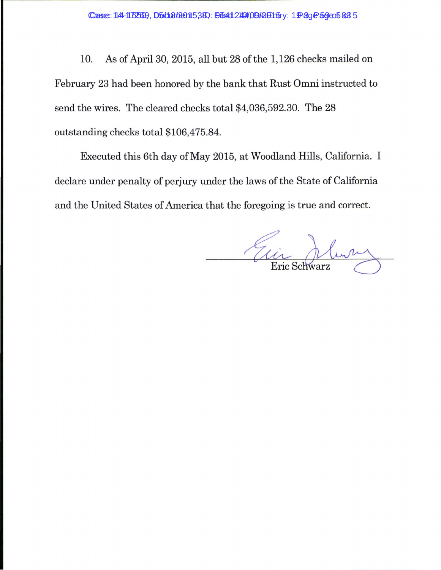10. As of April30, 2015, all but 28 of the 1,126 checks mailed on February 23 had been honored by the bank that Rust Omni instructed to send the wires. The cleared checks total \$4,036,592.30. The 28 outstanding checks total \$106,475.84.

Executed this 6th day of May 2015, at Woodland Hills, California. I declare under penalty of perjury under the laws of the State of California and the United States of America that the foregoing is true and correct.

Etic Schwarz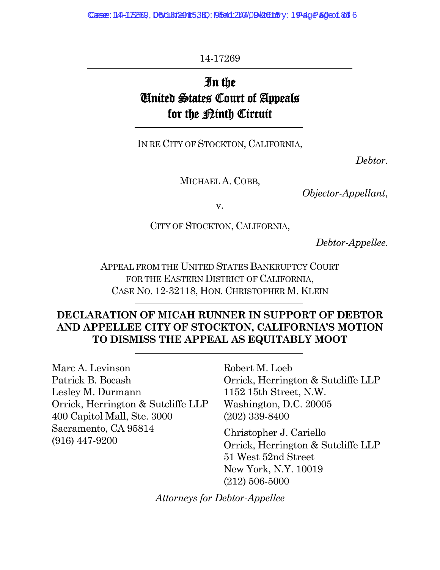Case: 14-15569, D5/18/180153BD: 9541240409 RaCh5ry: 19-49 Page 1 63 6

14-17269

# In the United States Court of Appeals for the <u>Pinth</u> Circuit

IN RE CITY OF STOCKTON, CALIFORNIA,

*Debtor.*

MICHAEL A. COBB,

*Objector-Appellant*,

v.

CITY OF STOCKTON, CALIFORNIA,

*Debtor-Appellee.*

APPEAL FROM THE UNITED STATES BANKRUPTCY COURT FOR THE EASTERN DISTRICT OF CALIFORNIA, CASE NO. 12-32118, HON. CHRISTOPHER M. KLEIN

#### **DECLARATION OF MICAH RUNNER IN SUPPORT OF DEBTOR AND APPELLEE CITY OF STOCKTON, CALIFORNIA'S MOTION TO DISMISS THE APPEAL AS EQUITABLY MOOT**

Marc A. Levinson Patrick B. Bocash Lesley M. Durmann Orrick, Herrington & Sutcliffe LLP 400 Capitol Mall, Ste. 3000 Sacramento, CA 95814 (916) 447-9200

Robert M. Loeb Orrick, Herrington & Sutcliffe LLP 1152 15th Street, N.W. Washington, D.C. 20005 (202) 339-8400

Christopher J. Cariello Orrick, Herrington & Sutcliffe LLP 51 West 52nd Street New York, N.Y. 10019 (212) 506-5000

*Attorneys for Debtor-Appellee*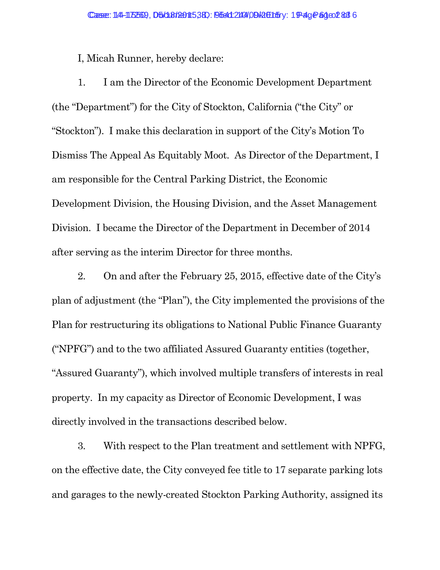I, Micah Runner, hereby declare:

1. I am the Director of the Economic Development Department (the "Department") for the City of Stockton, California ("the City" or "Stockton"). I make this declaration in support of the City's Motion To Dismiss The Appeal As Equitably Moot. As Director of the Department, I am responsible for the Central Parking District, the Economic Development Division, the Housing Division, and the Asset Management Division. I became the Director of the Department in December of 2014 after serving as the interim Director for three months.

2. On and after the February 25, 2015, effective date of the City's plan of adjustment (the "Plan"), the City implemented the provisions of the Plan for restructuring its obligations to National Public Finance Guaranty ("NPFG") and to the two affiliated Assured Guaranty entities (together, "Assured Guaranty"), which involved multiple transfers of interests in real property. In my capacity as Director of Economic Development, I was directly involved in the transactions described below.

3. With respect to the Plan treatment and settlement with NPFG, on the effective date, the City conveyed fee title to 17 separate parking lots and garages to the newly-created Stockton Parking Authority, assigned its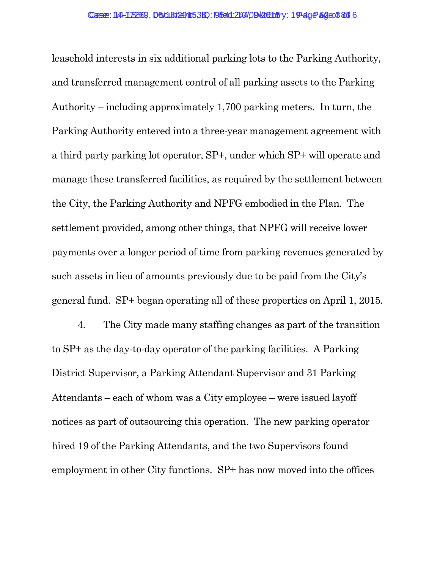leasehold interests in six additional parking lots to the Parking Authority, and transferred management control of all parking assets to the Parking Authority – including approximately 1,700 parking meters. In turn, the Parking Authority entered into a three-year management agreement with a third party parking lot operator, SP+, under which SP+ will operate and manage these transferred facilities, as required by the settlement between the City, the Parking Authority and NPFG embodied in the Plan. The settlement provided, among other things, that NPFG will receive lower payments over a longer period of time from parking revenues generated by such assets in lieu of amounts previously due to be paid from the City's general fund. SP+ began operating all of these properties on April 1, 2015.

4. The City made many staffing changes as part of the transition to SP+ as the day-to-day operator of the parking facilities. A Parking District Supervisor, a Parking Attendant Supervisor and 31 Parking Attendants – each of whom was a City employee – were issued layoff notices as part of outsourcing this operation. The new parking operator hired 19 of the Parking Attendants, and the two Supervisors found employment in other City functions. SP+ has now moved into the offices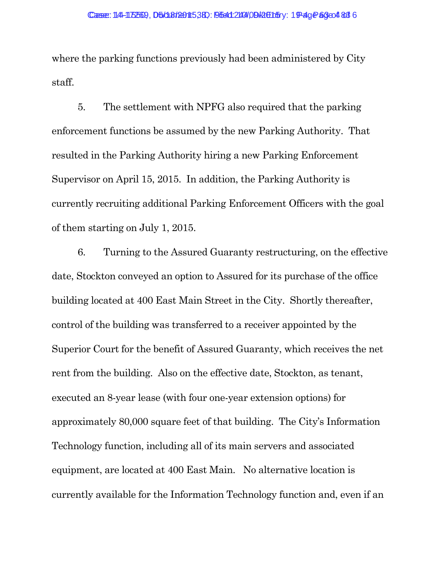where the parking functions previously had been administered by City staff.

5. The settlement with NPFG also required that the parking enforcement functions be assumed by the new Parking Authority. That resulted in the Parking Authority hiring a new Parking Enforcement Supervisor on April 15, 2015. In addition, the Parking Authority is currently recruiting additional Parking Enforcement Officers with the goal of them starting on July 1, 2015.

6. Turning to the Assured Guaranty restructuring, on the effective date, Stockton conveyed an option to Assured for its purchase of the office building located at 400 East Main Street in the City. Shortly thereafter, control of the building was transferred to a receiver appointed by the Superior Court for the benefit of Assured Guaranty, which receives the net rent from the building. Also on the effective date, Stockton, as tenant, executed an 8-year lease (with four one-year extension options) for approximately 80,000 square feet of that building. The City's Information Technology function, including all of its main servers and associated equipment, are located at 400 East Main. No alternative location is currently available for the Information Technology function and, even if an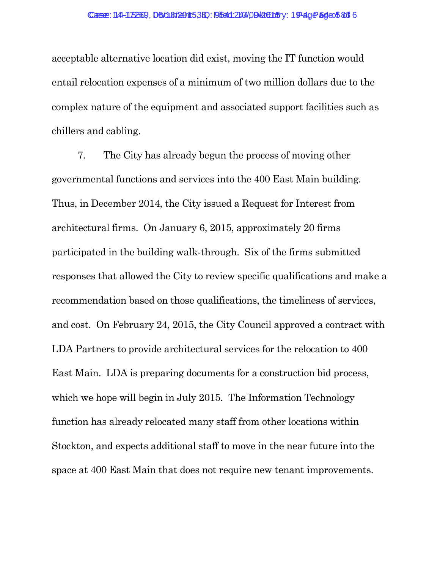acceptable alternative location did exist, moving the IT function would entail relocation expenses of a minimum of two million dollars due to the complex nature of the equipment and associated support facilities such as chillers and cabling.

7. The City has already begun the process of moving other governmental functions and services into the 400 East Main building. Thus, in December 2014, the City issued a Request for Interest from architectural firms. On January 6, 2015, approximately 20 firms participated in the building walk-through. Six of the firms submitted responses that allowed the City to review specific qualifications and make a recommendation based on those qualifications, the timeliness of services, and cost. On February 24, 2015, the City Council approved a contract with LDA Partners to provide architectural services for the relocation to 400 East Main. LDA is preparing documents for a construction bid process, which we hope will begin in July 2015. The Information Technology function has already relocated many staff from other locations within Stockton, and expects additional staff to move in the near future into the space at 400 East Main that does not require new tenant improvements.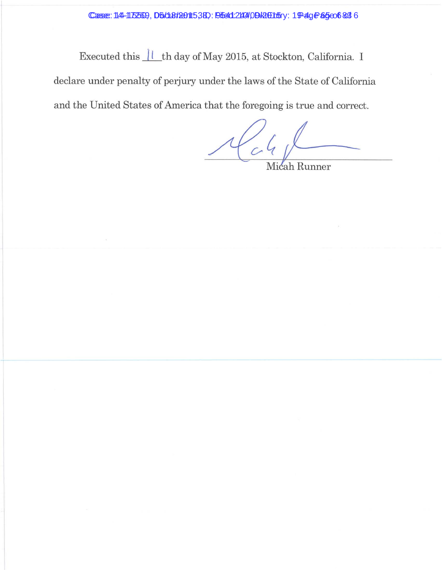Case: 14-172509, D5/18/2015, 38 : 95412144 09 Rethry: 19-49 Page 65 & 6

Executed this  $\frac{11}{1}$ th day of May 2015, at Stockton, California. I declare under penalty of perjury under the laws of the State of California and the United States of America that the foregoing is true and correct.

 $1641$ 

Micah Runner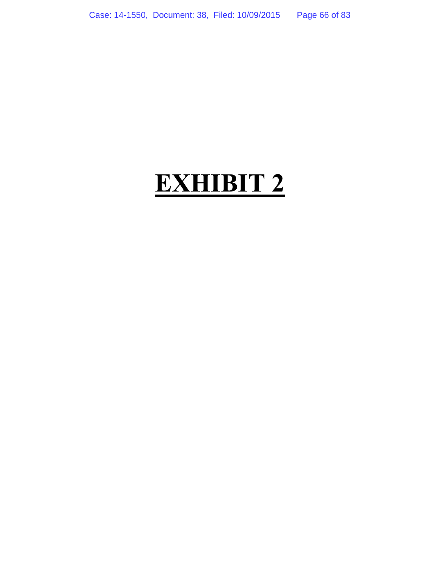# **EXHIBIT 2**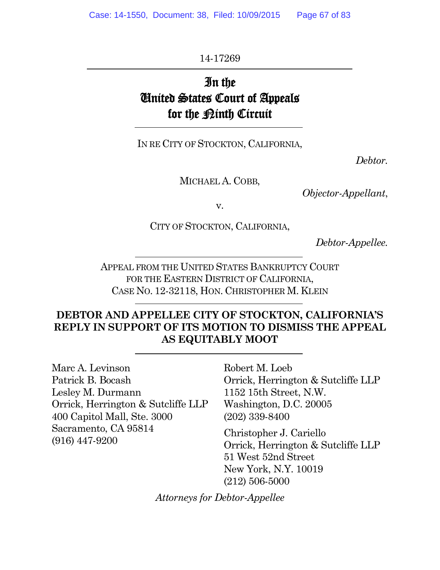14-17269

# In the United States Court of Appeals for the <u>Pinth</u> Circuit

IN RE CITY OF STOCKTON, CALIFORNIA,

*Debtor.*

MICHAEL A. COBB,

*Objector-Appellant*,

v.

CITY OF STOCKTON, CALIFORNIA,

*Debtor-Appellee.*

APPEAL FROM THE UNITED STATES BANKRUPTCY COURT FOR THE EASTERN DISTRICT OF CALIFORNIA, CASE NO. 12-32118, HON. CHRISTOPHER M. KLEIN

#### **DEBTOR AND APPELLEE CITY OF STOCKTON, CALIFORNIA'S REPLY IN SUPPORT OF ITS MOTION TO DISMISS THE APPEAL AS EQUITABLY MOOT**

Marc A. Levinson Patrick B. Bocash Lesley M. Durmann Orrick, Herrington & Sutcliffe LLP 400 Capitol Mall, Ste. 3000 Sacramento, CA 95814 (916) 447-9200

Robert M. Loeb Orrick, Herrington & Sutcliffe LLP 1152 15th Street, N.W. Washington, D.C. 20005 (202) 339-8400

Christopher J. Cariello Orrick, Herrington & Sutcliffe LLP 51 West 52nd Street New York, N.Y. 10019 (212) 506-5000

*Attorneys for Debtor-Appellee*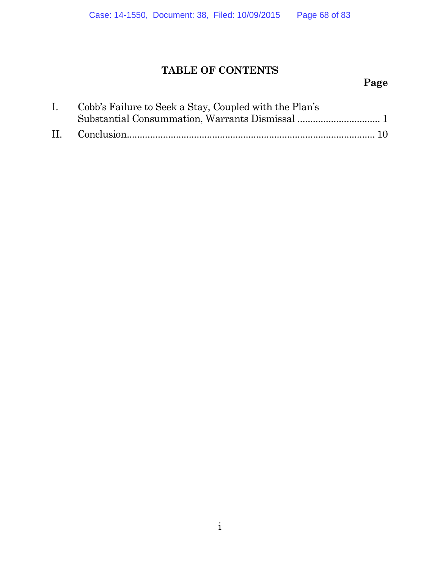# **TABLE OF CONTENTS**

# **Page**

| I. Cobb's Failure to Seek a Stay, Coupled with the Plan's |
|-----------------------------------------------------------|
|                                                           |
|                                                           |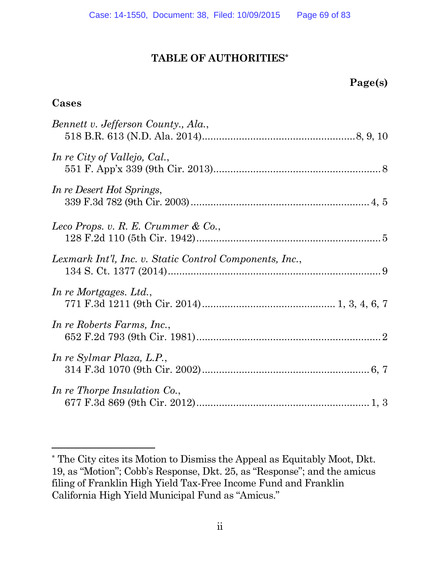#### **TABLE OF AUTHORITIES\***

#### **Cases**

| Bennett v. Jefferson County., Ala.,                     |  |
|---------------------------------------------------------|--|
| In re City of Vallejo, Cal.,                            |  |
| In re Desert Hot Springs,                               |  |
| Leco Props. v. R. E. Crummer & Co.,                     |  |
| Lexmark Int'l, Inc. v. Static Control Components, Inc., |  |
| In re Mortgages. Ltd.,                                  |  |
| In re Roberts Farms, Inc.,                              |  |
| In re Sylmar Plaza, L.P.,                               |  |
| In re Thorpe Insulation Co.,                            |  |

<sup>\*</sup> The City cites its Motion to Dismiss the Appeal as Equitably Moot, Dkt. 19, as "Motion"; Cobb's Response, Dkt. 25, as "Response"; and the amicus filing of Franklin High Yield Tax-Free Income Fund and Franklin California High Yield Municipal Fund as "Amicus."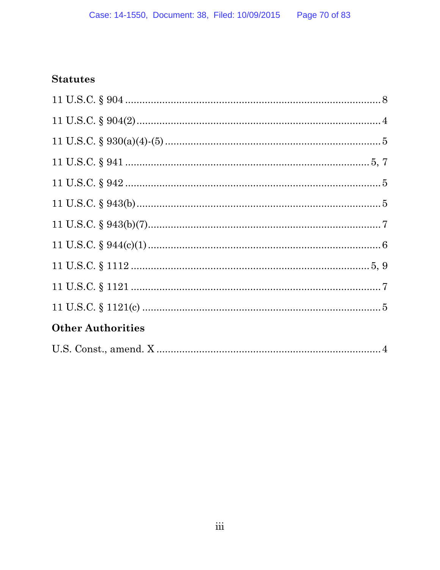### **Statutes**

| <b>Other Authorities</b> |
|--------------------------|
|                          |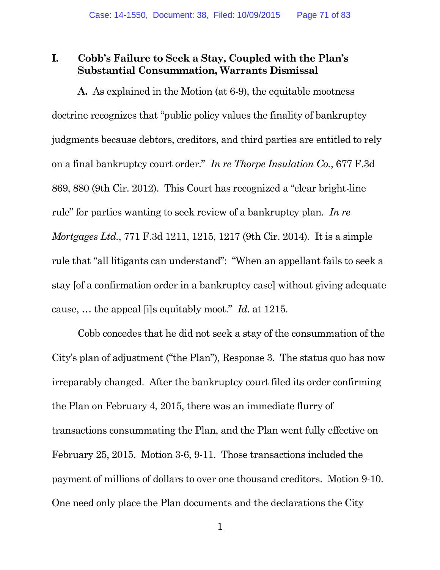#### **I. Cobb's Failure to Seek a Stay, Coupled with the Plan's Substantial Consummation, Warrants Dismissal**

**A.** As explained in the Motion (at 6-9), the equitable mootness doctrine recognizes that "public policy values the finality of bankruptcy judgments because debtors, creditors, and third parties are entitled to rely on a final bankruptcy court order." *In re Thorpe Insulation Co.*, 677 F.3d 869, 880 (9th Cir. 2012). This Court has recognized a "clear bright-line rule" for parties wanting to seek review of a bankruptcy plan. *In re Mortgages Ltd.*, 771 F.3d 1211, 1215, 1217 (9th Cir. 2014). It is a simple rule that "all litigants can understand": "When an appellant fails to seek a stay [of a confirmation order in a bankruptcy case] without giving adequate cause, … the appeal [i]s equitably moot." *Id*. at 1215.

Cobb concedes that he did not seek a stay of the consummation of the City's plan of adjustment ("the Plan"), Response 3. The status quo has now irreparably changed. After the bankruptcy court filed its order confirming the Plan on February 4, 2015, there was an immediate flurry of transactions consummating the Plan, and the Plan went fully effective on February 25, 2015. Motion 3-6, 9-11. Those transactions included the payment of millions of dollars to over one thousand creditors. Motion 9-10. One need only place the Plan documents and the declarations the City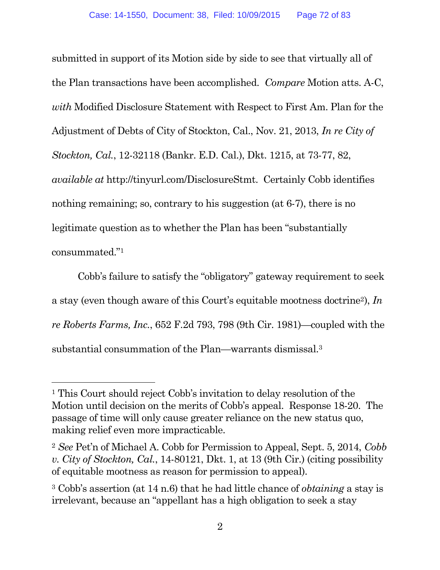submitted in support of its Motion side by side to see that virtually all of the Plan transactions have been accomplished. *Compare* Motion atts. A-C, *with* Modified Disclosure Statement with Respect to First Am. Plan for the Adjustment of Debts of City of Stockton, Cal., Nov. 21, 2013, *In re City of Stockton, Cal.*, 12-32118 (Bankr. E.D. Cal.), Dkt. 1215, at 73-77, 82, *available at* http://tinyurl.com/DisclosureStmt. Certainly Cobb identifies nothing remaining; so, contrary to his suggestion (at 6-7), there is no legitimate question as to whether the Plan has been "substantially consummated."<sup>1</sup>

Cobb's failure to satisfy the "obligatory" gateway requirement to seek a stay (even though aware of this Court's equitable mootness doctrine2), *In re Roberts Farms, Inc.*, 652 F.2d 793, 798 (9th Cir. 1981)—coupled with the substantial consummation of the Plan—warrants dismissal.<sup>3</sup>

<sup>1</sup> This Court should reject Cobb's invitation to delay resolution of the Motion until decision on the merits of Cobb's appeal. Response 18-20. The passage of time will only cause greater reliance on the new status quo, making relief even more impracticable.

<sup>2</sup> *See* Pet'n of Michael A. Cobb for Permission to Appeal, Sept. 5, 2014, *Cobb v. City of Stockton, Cal.*, 14-80121, Dkt. 1, at 13 (9th Cir.) (citing possibility of equitable mootness as reason for permission to appeal).

<sup>3</sup> Cobb's assertion (at 14 n.6) that he had little chance of *obtaining* a stay is irrelevant, because an "appellant has a high obligation to seek a stay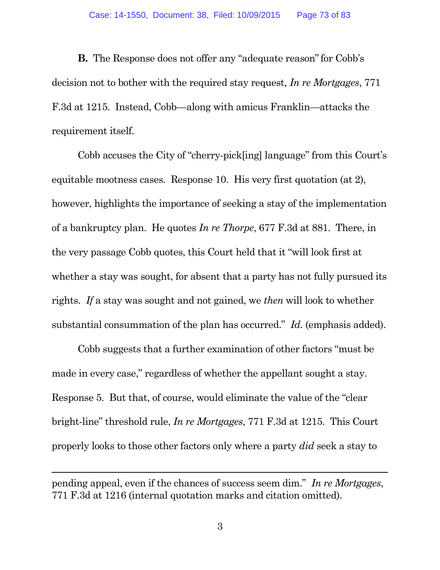**B.** The Response does not offer any "adequate reason" for Cobb's decision not to bother with the required stay request, *In re Mortgages*, 771 F.3d at 1215. Instead, Cobb—along with amicus Franklin—attacks the requirement itself.

Cobb accuses the City of "cherry-pick[ing] language" from this Court's equitable mootness cases. Response 10. His very first quotation (at 2), however, highlights the importance of seeking a stay of the implementation of a bankruptcy plan. He quotes *In re Thorpe*, 677 F.3d at 881. There, in the very passage Cobb quotes, this Court held that it "will look first at whether a stay was sought, for absent that a party has not fully pursued its rights. *If* a stay was sought and not gained, we *then* will look to whether substantial consummation of the plan has occurred." *Id.* (emphasis added).

Cobb suggests that a further examination of other factors "must be made in every case," regardless of whether the appellant sought a stay. Response 5. But that, of course, would eliminate the value of the "clear bright-line" threshold rule, *In re Mortgages*, 771 F.3d at 1215. This Court properly looks to those other factors only where a party *did* seek a stay to

pending appeal, even if the chances of success seem dim." *In re Mortgages*, 771 F.3d at 1216 (internal quotation marks and citation omitted).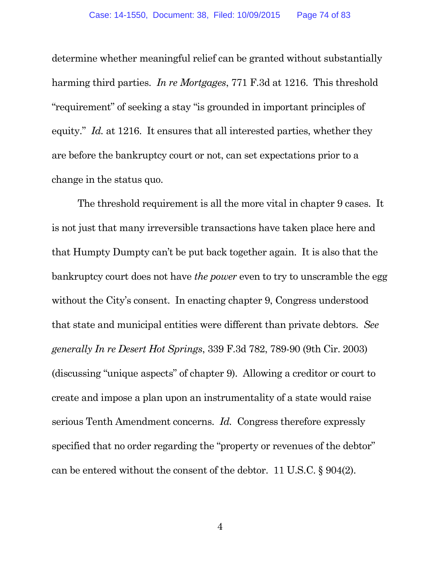determine whether meaningful relief can be granted without substantially harming third parties. *In re Mortgages*, 771 F.3d at 1216. This threshold "requirement" of seeking a stay "is grounded in important principles of equity." *Id.* at 1216. It ensures that all interested parties, whether they are before the bankruptcy court or not, can set expectations prior to a change in the status quo.

The threshold requirement is all the more vital in chapter 9 cases. It is not just that many irreversible transactions have taken place here and that Humpty Dumpty can't be put back together again. It is also that the bankruptcy court does not have *the power* even to try to unscramble the egg without the City's consent. In enacting chapter 9, Congress understood that state and municipal entities were different than private debtors. *See generally In re Desert Hot Springs*, 339 F.3d 782, 789-90 (9th Cir. 2003) (discussing "unique aspects" of chapter 9). Allowing a creditor or court to create and impose a plan upon an instrumentality of a state would raise serious Tenth Amendment concerns. *Id.* Congress therefore expressly specified that no order regarding the "property or revenues of the debtor" can be entered without the consent of the debtor. 11 U.S.C. § 904(2).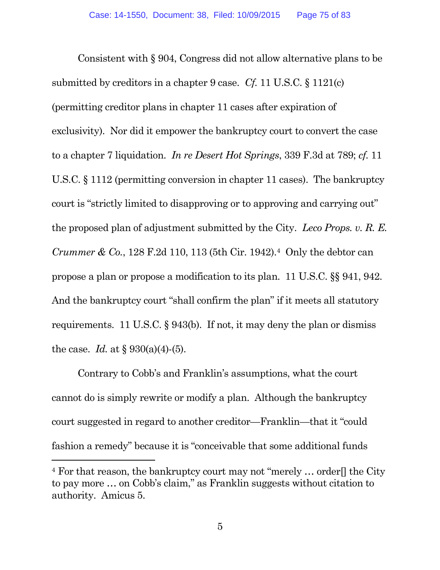Consistent with § 904, Congress did not allow alternative plans to be submitted by creditors in a chapter 9 case. *Cf.* 11 U.S.C. § 1121(c) (permitting creditor plans in chapter 11 cases after expiration of exclusivity). Nor did it empower the bankruptcy court to convert the case to a chapter 7 liquidation. *In re Desert Hot Springs*, 339 F.3d at 789; *cf.* 11 U.S.C. § 1112 (permitting conversion in chapter 11 cases). The bankruptcy court is "strictly limited to disapproving or to approving and carrying out" the proposed plan of adjustment submitted by the City. *Leco Props. v. R. E. Crummer & Co.*, 128 F.2d 110, 113 (5th Cir. 1942).<sup>4</sup> Only the debtor can propose a plan or propose a modification to its plan. 11 U.S.C. §§ 941, 942. And the bankruptcy court "shall confirm the plan" if it meets all statutory requirements. 11 U.S.C. § 943(b). If not, it may deny the plan or dismiss the case. *Id.* at  $\S 930(a)(4)-(5)$ .

Contrary to Cobb's and Franklin's assumptions, what the court cannot do is simply rewrite or modify a plan. Although the bankruptcy court suggested in regard to another creditor—Franklin—that it "could fashion a remedy" because it is "conceivable that some additional funds

<sup>&</sup>lt;sup>4</sup> For that reason, the bankruptcy court may not "merely ... order. the City" to pay more … on Cobb's claim," as Franklin suggests without citation to authority. Amicus 5.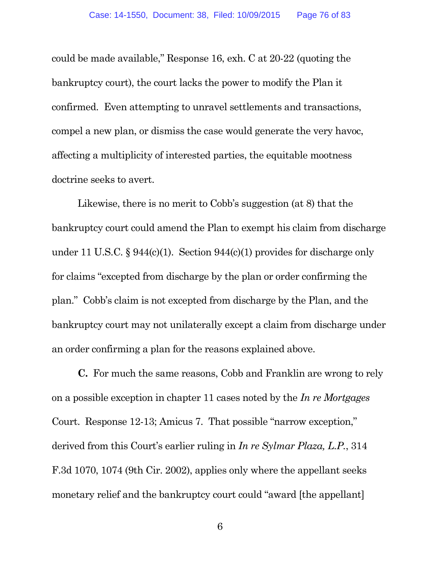could be made available," Response 16, exh. C at 20-22 (quoting the bankruptcy court), the court lacks the power to modify the Plan it confirmed. Even attempting to unravel settlements and transactions, compel a new plan, or dismiss the case would generate the very havoc, affecting a multiplicity of interested parties, the equitable mootness doctrine seeks to avert.

Likewise, there is no merit to Cobb's suggestion (at 8) that the bankruptcy court could amend the Plan to exempt his claim from discharge under 11 U.S.C. § 944(c)(1). Section 944(c)(1) provides for discharge only for claims "excepted from discharge by the plan or order confirming the plan." Cobb's claim is not excepted from discharge by the Plan, and the bankruptcy court may not unilaterally except a claim from discharge under an order confirming a plan for the reasons explained above.

**C.** For much the same reasons, Cobb and Franklin are wrong to rely on a possible exception in chapter 11 cases noted by the *In re Mortgages* Court. Response 12-13; Amicus 7. That possible "narrow exception," derived from this Court's earlier ruling in *In re Sylmar Plaza, L.P.*, 314 F.3d 1070, 1074 (9th Cir. 2002), applies only where the appellant seeks monetary relief and the bankruptcy court could "award [the appellant]

6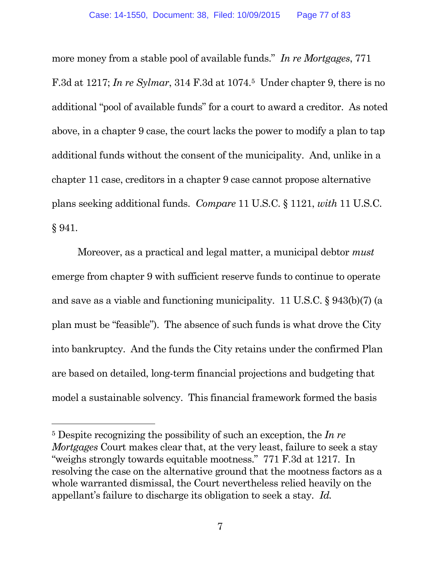more money from a stable pool of available funds." *In re Mortgages*, 771 F.3d at 1217; *In re Sylmar*, 314 F.3d at 1074.<sup>5</sup> Under chapter 9, there is no additional "pool of available funds" for a court to award a creditor. As noted above, in a chapter 9 case, the court lacks the power to modify a plan to tap additional funds without the consent of the municipality. And, unlike in a chapter 11 case, creditors in a chapter 9 case cannot propose alternative plans seeking additional funds. *Compare* 11 U.S.C. § 1121, *with* 11 U.S.C. § 941.

Moreover, as a practical and legal matter, a municipal debtor *must* emerge from chapter 9 with sufficient reserve funds to continue to operate and save as a viable and functioning municipality. 11 U.S.C. § 943(b)(7) (a plan must be "feasible"). The absence of such funds is what drove the City into bankruptcy. And the funds the City retains under the confirmed Plan are based on detailed, long-term financial projections and budgeting that model a sustainable solvency. This financial framework formed the basis

<sup>5</sup> Despite recognizing the possibility of such an exception, the *In re Mortgages* Court makes clear that, at the very least, failure to seek a stay "weighs strongly towards equitable mootness." 771 F.3d at 1217. In resolving the case on the alternative ground that the mootness factors as a whole warranted dismissal, the Court nevertheless relied heavily on the appellant's failure to discharge its obligation to seek a stay. *Id.*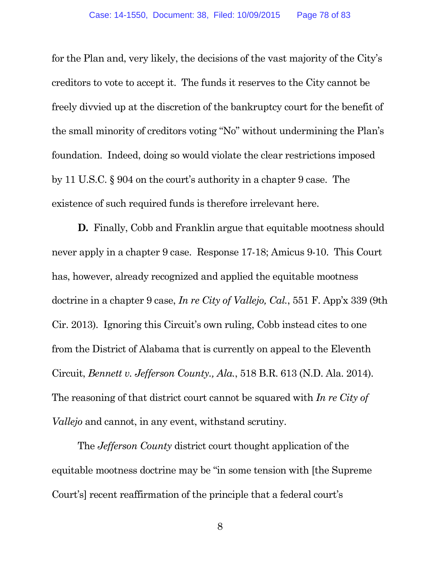for the Plan and, very likely, the decisions of the vast majority of the City's creditors to vote to accept it. The funds it reserves to the City cannot be freely divvied up at the discretion of the bankruptcy court for the benefit of the small minority of creditors voting "No" without undermining the Plan's foundation. Indeed, doing so would violate the clear restrictions imposed by 11 U.S.C. § 904 on the court's authority in a chapter 9 case. The existence of such required funds is therefore irrelevant here.

**D.** Finally, Cobb and Franklin argue that equitable mootness should never apply in a chapter 9 case. Response 17-18; Amicus 9-10. This Court has, however, already recognized and applied the equitable mootness doctrine in a chapter 9 case, *In re City of Vallejo, Cal.*, 551 F. App'x 339 (9th Cir. 2013). Ignoring this Circuit's own ruling, Cobb instead cites to one from the District of Alabama that is currently on appeal to the Eleventh Circuit, *Bennett v. Jefferson County., Ala.*, 518 B.R. 613 (N.D. Ala. 2014). The reasoning of that district court cannot be squared with *In re City of Vallejo* and cannot, in any event, withstand scrutiny.

The *Jefferson County* district court thought application of the equitable mootness doctrine may be "in some tension with [the Supreme Court's] recent reaffirmation of the principle that a federal court's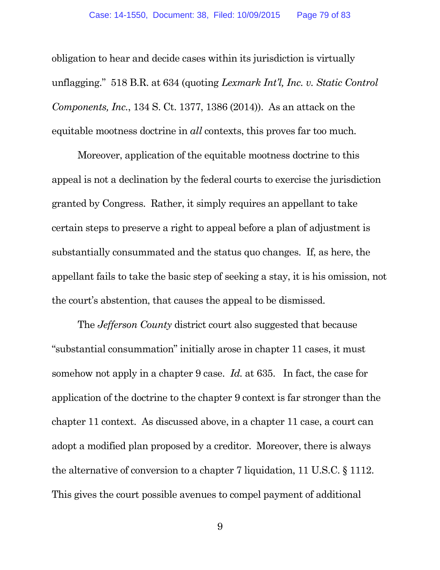obligation to hear and decide cases within its jurisdiction is virtually unflagging." 518 B.R. at 634 (quoting *Lexmark Int'l, Inc. v. Static Control Components, Inc.*, 134 S. Ct. 1377, 1386 (2014)). As an attack on the equitable mootness doctrine in *all* contexts, this proves far too much.

Moreover, application of the equitable mootness doctrine to this appeal is not a declination by the federal courts to exercise the jurisdiction granted by Congress. Rather, it simply requires an appellant to take certain steps to preserve a right to appeal before a plan of adjustment is substantially consummated and the status quo changes. If, as here, the appellant fails to take the basic step of seeking a stay, it is his omission, not the court's abstention, that causes the appeal to be dismissed.

The *Jefferson County* district court also suggested that because "substantial consummation" initially arose in chapter 11 cases, it must somehow not apply in a chapter 9 case. *Id.* at 635. In fact, the case for application of the doctrine to the chapter 9 context is far stronger than the chapter 11 context. As discussed above, in a chapter 11 case, a court can adopt a modified plan proposed by a creditor. Moreover, there is always the alternative of conversion to a chapter 7 liquidation, 11 U.S.C. § 1112. This gives the court possible avenues to compel payment of additional

9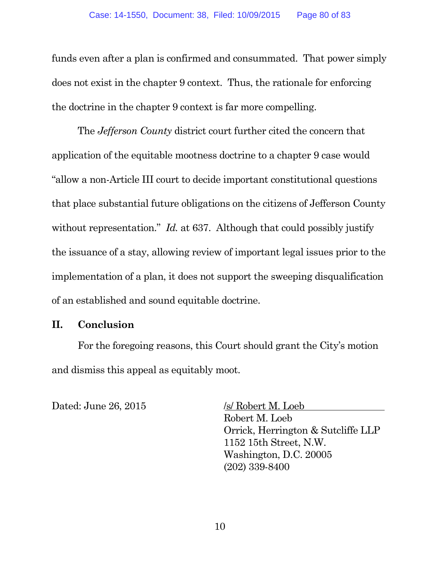funds even after a plan is confirmed and consummated. That power simply does not exist in the chapter 9 context. Thus, the rationale for enforcing the doctrine in the chapter 9 context is far more compelling.

The *Jefferson County* district court further cited the concern that application of the equitable mootness doctrine to a chapter 9 case would "allow a non-Article III court to decide important constitutional questions that place substantial future obligations on the citizens of Jefferson County without representation." *Id.* at 637. Although that could possibly justify the issuance of a stay, allowing review of important legal issues prior to the implementation of a plan, it does not support the sweeping disqualification of an established and sound equitable doctrine.

## **II. Conclusion**

For the foregoing reasons, this Court should grant the City's motion and dismiss this appeal as equitably moot.

Dated: June 26, 2015 /s/ Robert M. Loeb

Robert M. Loeb Orrick, Herrington & Sutcliffe LLP 1152 15th Street, N.W. Washington, D.C. 20005 (202) 339-8400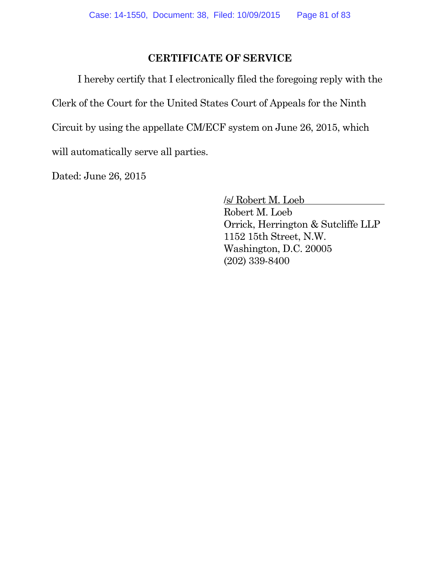## **CERTIFICATE OF SERVICE**

I hereby certify that I electronically filed the foregoing reply with the

Clerk of the Court for the United States Court of Appeals for the Ninth

Circuit by using the appellate CM/ECF system on June 26, 2015, which

will automatically serve all parties.

Dated: June 26, 2015

/s/ Robert M. Loeb Robert M. Loeb Orrick, Herrington & Sutcliffe LLP 1152 15th Street, N.W. Washington, D.C. 20005 (202) 339-8400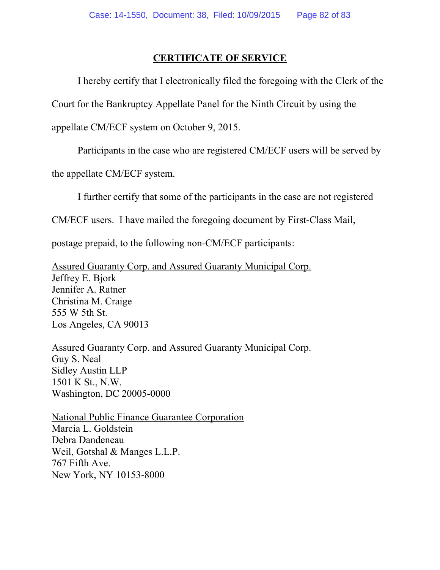## **CERTIFICATE OF SERVICE**

I hereby certify that I electronically filed the foregoing with the Clerk of the

Court for the Bankruptcy Appellate Panel for the Ninth Circuit by using the

appellate CM/ECF system on October 9, 2015.

Participants in the case who are registered CM/ECF users will be served by

the appellate CM/ECF system.

I further certify that some of the participants in the case are not registered

CM/ECF users. I have mailed the foregoing document by First-Class Mail,

postage prepaid, to the following non-CM/ECF participants:

Assured Guaranty Corp. and Assured Guaranty Municipal Corp. Jeffrey E. Bjork Jennifer A. Ratner Christina M. Craige 555 W 5th St. Los Angeles, CA 90013

Assured Guaranty Corp. and Assured Guaranty Municipal Corp. Guy S. Neal Sidley Austin LLP 1501 K St., N.W. Washington, DC 20005-0000

National Public Finance Guarantee Corporation Marcia L. Goldstein Debra Dandeneau Weil, Gotshal & Manges L.L.P. 767 Fifth Ave. New York, NY 10153-8000